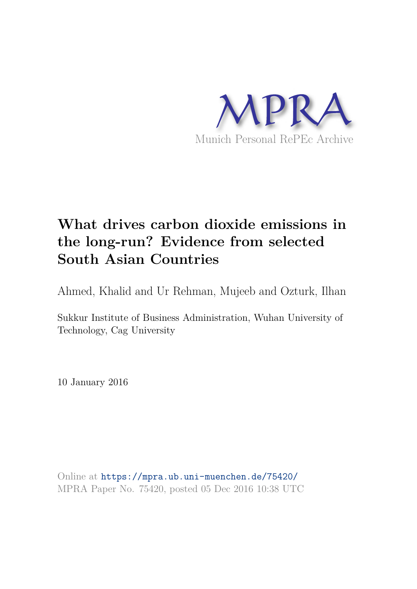

# **What drives carbon dioxide emissions in the long-run? Evidence from selected South Asian Countries**

Ahmed, Khalid and Ur Rehman, Mujeeb and Ozturk, Ilhan

Sukkur Institute of Business Administration, Wuhan University of Technology, Cag University

10 January 2016

Online at https://mpra.ub.uni-muenchen.de/75420/ MPRA Paper No. 75420, posted 05 Dec 2016 10:38 UTC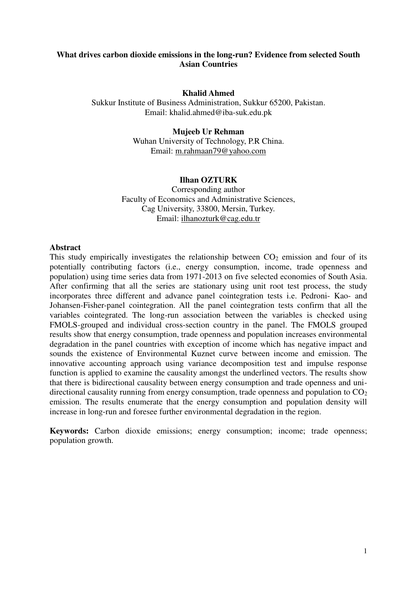# **What drives carbon dioxide emissions in the long-run? Evidence from selected South Asian Countries**

## **Khalid Ahmed**

Sukkur Institute of Business Administration, Sukkur 65200, Pakistan. Email: [khalid.ahmed@iba-suk.edu.pk](mailto:khalid.ahmed@iba-suk.edu.pk)

## **Mujeeb Ur Rehman**

Wuhan University of Technology, P.R China. Email: [m.rahmaan79@yahoo.com](mailto:m.rahmaan79@yahoo.com) 

## **Ilhan OZTURK**

Corresponding author Faculty of Economics and Administrative Sciences, Cag University, 33800, Mersin, Turkey. Email: [ilhanozturk@cag.edu.tr](mailto:ilhanozturk@cag.edu.tr) 

## **Abstract**

This study empirically investigates the relationship between  $CO<sub>2</sub>$  emission and four of its potentially contributing factors (i.e., energy consumption, income, trade openness and population) using time series data from 1971-2013 on five selected economies of South Asia. After confirming that all the series are stationary using unit root test process, the study incorporates three different and advance panel cointegration tests i.e. Pedroni- Kao- and Johansen-Fisher-panel cointegration. All the panel cointegration tests confirm that all the variables cointegrated. The long-run association between the variables is checked using FMOLS-grouped and individual cross-section country in the panel. The FMOLS grouped results show that energy consumption, trade openness and population increases environmental degradation in the panel countries with exception of income which has negative impact and sounds the existence of Environmental Kuznet curve between income and emission. The innovative accounting approach using variance decomposition test and impulse response function is applied to examine the causality amongst the underlined vectors. The results show that there is bidirectional causality between energy consumption and trade openness and unidirectional causality running from energy consumption, trade openness and population to  $CO<sub>2</sub>$ emission. The results enumerate that the energy consumption and population density will increase in long-run and foresee further environmental degradation in the region.

**Keywords:** Carbon dioxide emissions; energy consumption; income; trade openness; population growth.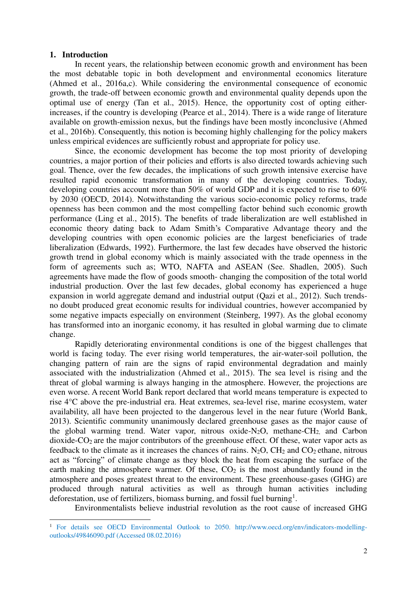#### **1. Introduction**

l

In recent years, the relationship between economic growth and environment has been the most debatable topic in both development and environmental economics literature (Ahmed et al., 2016a,c). While considering the environmental consequence of economic growth, the trade-off between economic growth and environmental quality depends upon the optimal use of energy (Tan et al., 2015). Hence, the opportunity cost of opting eitherincreases, if the country is developing (Pearce et al., 2014). There is a wide range of literature available on growth-emission nexus, but the findings have been mostly inconclusive (Ahmed et al., 2016b). Consequently, this notion is becoming highly challenging for the policy makers unless empirical evidences are sufficiently robust and appropriate for policy use.

Since, the economic development has become the top most priority of developing countries, a major portion of their policies and efforts is also directed towards achieving such goal. Thence, over the few decades, the implications of such growth intensive exercise have resulted rapid economic transformation in many of the developing countries. Today, developing countries account more than 50% of world GDP and it is expected to rise to 60% by 2030 [\(OECD,](#page-23-0) 2014). Notwithstanding the various socio-economic policy reforms, trade openness has been common and the most compelling factor behind such economic growth performance (Ling et al., 2015). The benefits of trade liberalization are well established in economic theory dating back to Adam Smith's Comparative Advantage theory and the developing countries with open economic policies are the largest beneficiaries of trade liberalization (Edwards, 1992). Furthermore, the last few decades have observed the historic growth trend in global economy which is mainly associated with the trade openness in the form of agreements such as; WTO, NAFTA and ASEAN (See. Shadlen, 2005). Such agreements have made the flow of goods smooth- changing the composition of the total world industrial production. Over the last few decades, global economy has experienced a huge expansion in world aggregate demand and industrial output (Qazi et al., 2012). Such trendsno doubt produced great economic results for individual countries, however accompanied by some negative impacts especially on environment (Steinberg, 1997). As the global economy has transformed into an inorganic economy, it has resulted in global warming due to climate change.

Rapidly deteriorating environmental conditions is one of the biggest challenges that world is facing today. The ever rising world temperatures, the air-water-soil pollution, the changing pattern of rain are the signs of rapid environmental degradation and mainly associated with the industrialization (Ahmed et al., 2015). The sea level is rising and the threat of global warming is always hanging in the atmosphere. However, the projections are even worse. A recent World Bank report declared that world means temperature is expected to rise 4°C above the pre-industrial era. Heat extremes, sea-level rise, marine ecosystem, water availability, all have been projected to the dangerous level in the near future (World [Bank,](#page-22-0)  [2013\)](#page-22-0). Scientific community unanimously declared greenhouse gases as the major cause of the global warming trend. Water vapor, nitrous oxide- $N_2O$ , methane- $CH<sub>2</sub>$ , and Carbon  $divide$ - $CO<sub>2</sub>$  are the major contributors of the greenhouse effect. Of these, water vapor acts as feedback to the climate as it increases the chances of rains.  $N_2O$ ,  $CH_2$  and  $CO_2$  ethane, nitrous act as "forcing" of climate change as they block the heat from escaping the surface of the earth making the atmosphere warmer. Of these,  $CO<sub>2</sub>$  is the most abundantly found in the atmosphere and poses greatest threat to the environment. These greenhouse-gases (GHG) are produced through natural activities as well as through human activities including deforestation, use of fertilizers, biomass burning, and fossil fuel burning<sup>1</sup>.

Environmentalists believe industrial revolution as the root cause of increased GHG

<sup>&</sup>lt;sup>1</sup> For details see OECD Environmental Outlook to 2050. http://www.oecd.org/env/indicators-modellingoutlooks/49846090.pdf (Accessed 08.02.2016)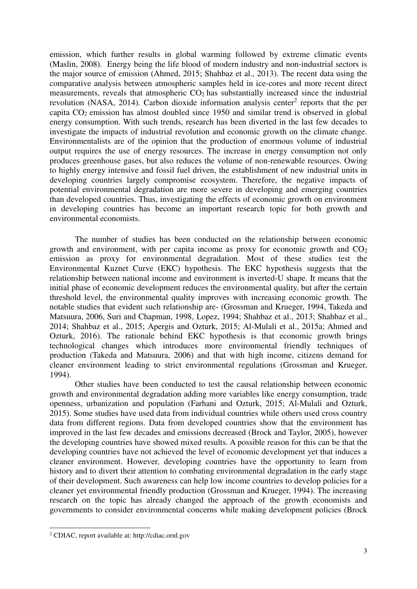emission, which further results in global warming followed by extreme climatic events (Maslin, 2008). Energy being the life blood of modern industry and non-industrial sectors is the major source of emission (Ahmed, 2015; Shahbaz et al., 2013). The recent data using the comparative analysis between atmospheric samples held in ice-cores and more recent direct measurements, reveals that atmospheric  $CO<sub>2</sub>$  has substantially increased since the industrial revolution (NASA, 2014). Carbon dioxide information analysis center<sup>2</sup> reports that the per capita CO2 emission has almost doubled since 1950 and similar trend is observed in global energy consumption. With such trends, research has been diverted in the last few decades to investigate the impacts of industrial revolution and economic growth on the climate change. Environmentalists are of the opinion that the production of enormous volume of industrial output requires the use of energy resources. The increase in energy consumption not only produces greenhouse gases, but also reduces the volume of non-renewable resources. Owing to highly energy intensive and fossil fuel driven, the establishment of new industrial units in developing countries largely compromise ecosystem. Therefore, the negative impacts of potential environmental degradation are more severe in developing and emerging countries than developed countries. Thus, investigating the effects of economic growth on environment in developing countries has become an important research topic for both growth and environmental economists.

The number of studies has been conducted on the relationship between economic growth and environment, with per capita income as proxy for economic growth and  $CO<sub>2</sub>$ emission as proxy for environmental degradation. Most of these studies test the Environmental Kuznet Curve (EKC) hypothesis. The EKC hypothesis suggests that the relationship between national income and environment is inverted-U shape. It means that the initial phase of economic development reduces the environmental quality, but after the certain threshold level, the environmental quality improves with increasing economic growth. The notable studies that evident such relationship are- [\(Grossman and Krueger, 1994,](#page-22-1) [Takeda and](#page-24-0)  [Matsuura, 2006,](#page-24-0) [Suri and Chapman, 1998,](#page-24-1) [Lopez, 1994;](#page-23-1) [Shahbaz et al., 2013;](#page-24-2) [Shahbaz et al.,](#page-24-3)  [2014;](#page-24-3) [Shahbaz et al., 2015;](#page-24-4) [Apergis and Ozturk, 2015;](#page-22-2) Al-Mulali et al., 2015a; Ahmed and Ozturk, 2016). The rationale behind EKC hypothesis is that economic growth brings technological changes which introduces more environmental friendly techniques of production [\(Takeda and Matsuura, 2006\)](#page-24-0) and that with high income, citizens demand for cleaner environment leading to strict environmental regulations [\(Grossman and Krueger,](#page-22-1)  [1994\)](#page-22-1).

Other studies have been conducted to test the causal relationship between economic growth and environmental degradation adding more variables like energy consumption, trade openness, urbanization and population [\(Farhani and Ozturk, 2015;](#page-22-3) Al-Mulali and Ozturk, 2015). Some studies have used data from individual countries while others used cross country data from different regions. Data from developed countries show that the environment has improved in the last few decades and emissions decreased [\(Brock and Taylor, 2005\)](#page-22-4), however the developing countries have showed mixed results. A possible reason for this can be that the developing countries have not achieved the level of economic development yet that induces a cleaner environment. However, developing countries have the opportunity to learn from history and to divert their attention to combating environmental degradation in the early stage of their development. Such awareness can help low income countries to develop policies for a cleaner yet environmental friendly production [\(Grossman and Krueger, 1994\)](#page-22-1). The increasing research on the topic has already changed the approach of the growth economists and governments to consider environmental concerns while making development policies [\(Brock](#page-22-4) 

 $\overline{a}$ 

<sup>2</sup> CDIAC, report available at: http://cdiac.ornl.gov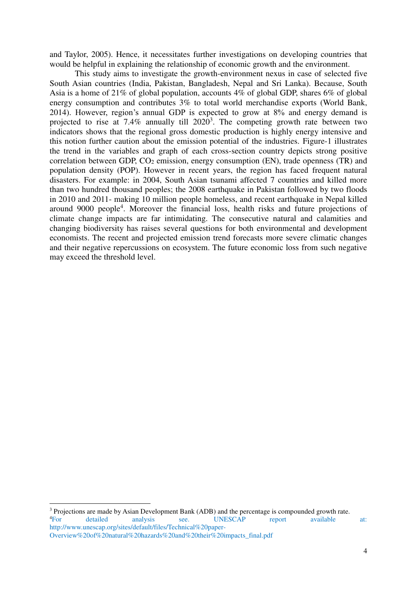[and Taylor, 2005\)](#page-22-4). Hence, it necessitates further investigations on developing countries that would be helpful in explaining the relationship of economic growth and the environment.

This study aims to investigate the growth-environment nexus in case of selected five South Asian countries (India, Pakistan, Bangladesh, Nepal and Sri Lanka). Because, South Asia is a home of 21% of global population, accounts 4% of global GDP, shares 6% of global energy consumption and contributes 3% to total world merchandise exports (World Bank, 2014). However, region's annual GDP is expected to grow at 8% and energy demand is projected to rise at 7.4% annually till  $2020<sup>3</sup>$ . The competing growth rate between two indicators shows that the regional gross domestic production is highly energy intensive and this notion further caution about the emission potential of the industries. Figure-1 illustrates the trend in the variables and graph of each cross-section country depicts strong positive correlation between GDP,  $CO<sub>2</sub>$  emission, energy consumption (EN), trade openness (TR) and population density (POP). However in recent years, the region has faced frequent natural disasters. For example: in 2004, South Asian tsunami affected 7 countries and killed more than two hundred thousand peoples; the 2008 earthquake in Pakistan followed by two floods in 2010 and 2011- making 10 million people homeless, and recent earthquake in Nepal killed around 9000 people<sup>4</sup>. Moreover the financial loss, health risks and future projections of climate change impacts are far intimidating. The consecutive natural and calamities and changing biodiversity has raises several questions for both environmental and development economists. The recent and projected emission trend forecasts more severe climatic changes and their negative repercussions on ecosystem. The future economic loss from such negative may exceed the threshold level.

 $3$  Projections are made by Asian Development Bank (ADB) and the percentage is compounded growth rate. <sup>4</sup>For detailed analysis see. UNESCAP report available at: http://www.unescap.org/sites/default/files/Technical%20paper-Overview%20of%20natural%20hazards%20and%20their%20impacts\_final.pdf

l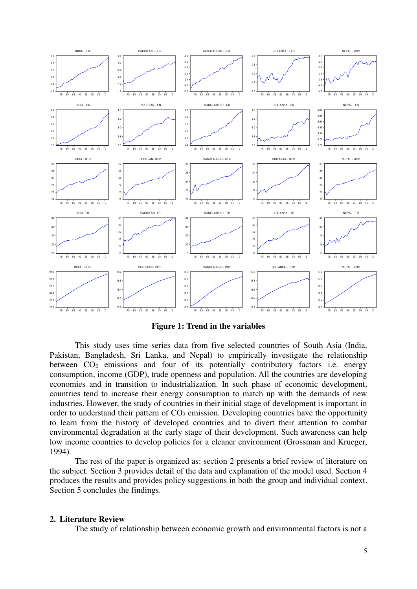

**Figure 1: Trend in the variables** 

This study uses time series data from five selected countries of South Asia (India, Pakistan, Bangladesh, Sri Lanka, and Nepal) to empirically investigate the relationship between  $CO<sub>2</sub>$  emissions and four of its potentially contributory factors i.e. energy consumption, income (GDP), trade openness and population. All the countries are developing economies and in transition to industrialization. In such phase of economic development, countries tend to increase their energy consumption to match up with the demands of new industries. However, the study of countries in their initial stage of development is important in order to understand their pattern of  $CO<sub>2</sub>$  emission. Developing countries have the opportunity to learn from the history of developed countries and to divert their attention to combat environmental degradation at the early stage of their development. Such awareness can help low income countries to develop policies for a cleaner environment [\(Grossman and Krueger,](#page-22-1)  [1994\)](#page-22-1).

The rest of the paper is organized as: section 2 presents a brief review of literature on the subject. Section 3 provides detail of the data and explanation of the model used. Section 4 produces the results and provides policy suggestions in both the group and individual context. Section 5 concludes the findings.

#### **2. Literature Review**

The study of relationship between economic growth and environmental factors is not a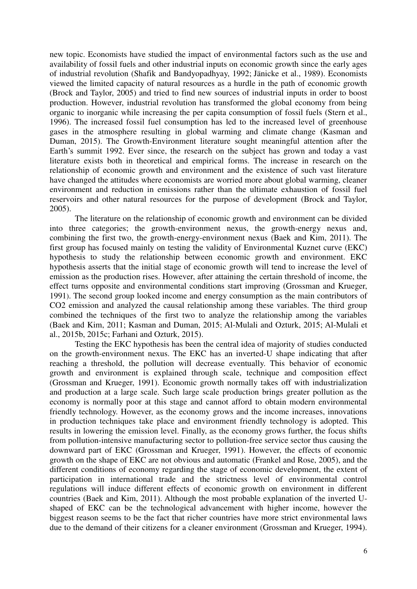new topic. Economists have studied the impact of environmental factors such as the use and availability of fossil fuels and other industrial inputs on economic growth since the early ages of industrial revolution (Shafik and Bandyopadhyay, 1992; Jänicke et al., 1989). Economists viewed the limited capacity of natural resources as a hurdle in the path of economic growth [\(Brock and Taylor, 2005\)](#page-22-4) and tried to find new sources of industrial inputs in order to boost production. However, industrial revolution has transformed the global economy from being organic to inorganic while increasing the per capita consumption of fossil fuels (Stern et al., 1996). The increased fossil fuel consumption has led to the increased level of greenhouse gases in the atmosphere resulting in global warming and climate change [\(Kasman and](#page-23-2)  [Duman, 2015\)](#page-23-2). The Growth-Environment literature sought meaningful attention after the Earth's summit 1992. Ever since, the research on the subject has grown and today a vast literature exists both in theoretical and empirical forms. The increase in research on the relationship of economic growth and environment and the existence of such vast literature have changed the attitudes where economists are worried more about global warming, cleaner environment and reduction in emissions rather than the ultimate exhaustion of fossil fuel reservoirs and other natural resources for the purpose of development [\(Brock and Taylor,](#page-22-4)  [2005\)](#page-22-4).

The literature on the relationship of economic growth and environment can be divided into three categories; the growth-environment nexus, the growth-energy nexus and, combining the first two, the growth-energy-environment nexus [\(Baek and Kim, 2011\)](#page-22-5). The first group has focused mainly on testing the validity of Environmental Kuznet curve (EKC) hypothesis to study the relationship between economic growth and environment. EKC hypothesis asserts that the initial stage of economic growth will tend to increase the level of emission as the production rises. However, after attaining the certain threshold of income, the effect turns opposite and environmental conditions start improving [\(Grossman and Krueger,](#page-22-6)  [1991](#page-22-6)). The second group looked income and energy consumption as the main contributors of CO2 emission and analyzed the causal relationship among these variables. The third group combined the techniques of the first two to analyze the relationship among the variables [\(Baek and Kim, 2011;](#page-22-7) [Kasman and Duman, 2015](#page-22-8); Al-Mulali and Ozturk, 2015; Al-Mulali et al., 2015b, 2015c; Farhani and Ozturk, 2015).

Testing the EKC hypothesis has been the central idea of majority of studies conducted on the growth-environment nexus. The EKC has an inverted-U shape indicating that after reaching a threshold, the pollution will decrease eventually. This behavior of economic growth and environment is explained through scale, technique and composition effect [\(Grossman and Krueger, 1991\)](#page-22-6). Economic growth normally takes off with industrialization and production at a large scale. Such large scale production brings greater pollution as the economy is normally poor at this stage and cannot afford to obtain modern environmental friendly technology. However, as the economy grows and the income increases, innovations in production techniques take place and environment friendly technology is adopted. This results in lowering the emission level. Finally, as the economy grows further, the focus shifts from pollution-intensive manufacturing sector to pollution-free service sector thus causing the downward part of EKC [\(Grossman and Krueger, 1991\)](#page-22-6). However, the effects of economic growth on the shape of EKC are not obvious and automatic [\(Frankel and Rose, 2005\)](#page-22-9), and the different conditions of economy regarding the stage of economic development, the extent of participation in international trade and the strictness level of environmental control regulations will induce different effects of economic growth on environment in different countries [\(Baek and Kim, 2011\)](#page-22-5). Although the most probable explanation of the inverted Ushaped of EKC can be the technological advancement with higher income, however the biggest reason seems to be the fact that richer countries have more strict environmental laws due to the demand of their citizens for a cleaner environment [\(Grossman and Krueger, 1994\)](#page-22-1).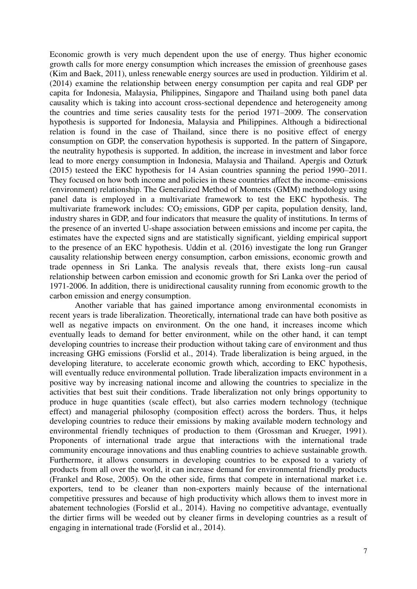Economic growth is very much dependent upon the use of energy. Thus higher economic growth calls for more energy consumption which increases the emission of greenhouse gases [\(Kim and Baek, 2011\)](#page-23-3), unless renewable energy sources are used in production. [Yildirim et al.](#page-24-5)  [\(2014\)](#page-24-5) examine the relationship between energy consumption per capita and real GDP per capita for Indonesia, Malaysia, Philippines, Singapore and Thailand using both panel data causality which is taking into account cross-sectional dependence and heterogeneity among the countries and time series causality tests for the period 1971–2009. The conservation hypothesis is supported for Indonesia, Malaysia and Philippines. Although a bidirectional relation is found in the case of Thailand, since there is no positive effect of energy consumption on GDP, the conservation hypothesis is supported. In the pattern of Singapore, the neutrality hypothesis is supported. In addition, the increase in investment and labor force lead to more energy consumption in Indonesia, Malaysia and Thailand. Apergis and Ozturk (2015) testeed the EKC hypothesis for 14 Asian countries spanning the period 1990–2011. They focused on how both income and policies in these countries affect the income–emissions (environment) relationship. The Generalized Method of Moments (GMM) methodology using panel data is employed in a multivariate framework to test the EKC hypothesis. The multivariate framework includes:  $CO<sub>2</sub>$  emissions, GDP per capita, population density, land, industry shares in GDP, and four indicators that measure the quality of institutions. In terms of the presence of an inverted U-shape association between emissions and income per capita, the estimates have the expected signs and are statistically significant, yielding empirical support to the presence of an EKC hypothesis. [Uddin et al. \(2016\)](#page-24-6) investigate the long run Granger causality relationship between energy consumption, carbon emissions, economic growth and trade openness in Sri Lanka. The analysis reveals that, there exists long–run causal relationship between carbon emission and economic growth for Sri Lanka over the period of 1971-2006. In addition, there is unidirectional causality running from economic growth to the carbon emission and energy consumption.

Another variable that has gained importance among environmental economists in recent years is trade liberalization. Theoretically, international trade can have both positive as well as negative impacts on environment. On the one hand, it increases income which eventually leads to demand for better environment, while on the other hand, it can tempt developing countries to increase their production without taking care of environment and thus increasing GHG emissions [\(Forslid et al., 2014\)](#page-22-10). Trade liberalization is being argued, in the developing literature, to accelerate economic growth which, according to EKC hypothesis, will eventually reduce environmental pollution. Trade liberalization impacts environment in a positive way by increasing national income and allowing the countries to specialize in the activities that best suit their conditions. Trade liberalization not only brings opportunity to produce in huge quantities (scale effect), but also carries modern technology (technique effect) and managerial philosophy (composition effect) across the borders. Thus, it helps developing countries to reduce their emissions by making available modern technology and environmental friendly techniques of production to them [\(Grossman and Krueger, 1991\)](#page-22-6). Proponents of international trade argue that interactions with the international trade community encourage innovations and thus enabling countries to achieve sustainable growth. Furthermore, it allows consumers in developing countries to be exposed to a variety of products from all over the world, it can increase demand for environmental friendly products [\(Frankel and Rose, 2005\)](#page-22-9). On the other side, firms that compete in international market i.e. exporters, tend to be cleaner than non-exporters mainly because of the international competitive pressures and because of high productivity which allows them to invest more in abatement technologies [\(Forslid et al., 2014\)](#page-22-10). Having no competitive advantage, eventually the dirtier firms will be weeded out by cleaner firms in developing countries as a result of engaging in international trade [\(Forslid et al., 2014\)](#page-22-10).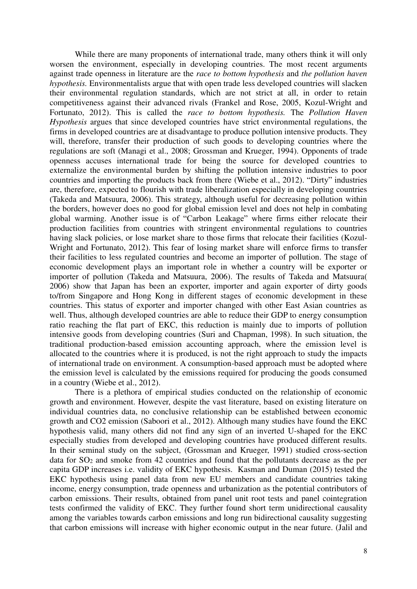While there are many proponents of international trade, many others think it will only worsen the environment, especially in developing countries. The most recent arguments against trade openness in literature are the *race to bottom hypothesis* and *the pollution haven hypothesis.* Environmentalists argue that with open trade less developed countries will slacken their environmental regulation standards, which are not strict at all, in order to retain competitiveness against their advanced rivals [\(Frankel and Rose, 2005,](#page-22-9) [Kozul-Wright and](#page-23-4)  [Fortunato, 2012\)](#page-23-4). This is called the *race to bottom hypothesis.* The *Pollution Haven Hypothesis* argues that since developed countries have strict environmental regulations, the firms in developed countries are at disadvantage to produce pollution intensive products. They will, therefore, transfer their production of such goods to developing countries where the regulations are soft [\(Managi et al., 2008;](#page-23-5) [Grossman and Krueger, 1994\)](#page-22-1). Opponents of trade openness accuses international trade for being the source for developed countries to externalize the environmental burden by shifting the pollution intensive industries to poor countries and importing the products back from there [\(Wiebe et al., 2012\)](#page-24-7). "Dirty" industries are, therefore, expected to flourish with trade liberalization especially in developing countries [\(Takeda and Matsuura, 2006\)](#page-24-0). This strategy, although useful for decreasing pollution within the borders, however does no good for global emission level and does not help in combating global warming. Another issue is of "Carbon Leakage" where firms either relocate their production facilities from countries with stringent environmental regulations to countries having slack policies, or lose market share to those firms that relocate their facilities [\(Kozul-](#page-23-4)[Wright and Fortunato, 2012\)](#page-23-4). This fear of losing market share will enforce firms to transfer their facilities to less regulated countries and become an importer of pollution. The stage of economic development plays an important role in whether a country will be exporter or importer of pollution [\(Takeda and Matsuura, 2006\)](#page-24-0). The results of [Takeda and Matsuura\(](#page-24-0)  [2006\)](#page-24-0) show that Japan has been an exporter, importer and again exporter of dirty goods to/from Singapore and Hong Kong in different stages of economic development in these countries. This status of exporter and importer changed with other East Asian countries as well. Thus, although developed countries are able to reduce their GDP to energy consumption ratio reaching the flat part of EKC, this reduction is mainly due to imports of pollution intensive goods from developing countries [\(Suri and Chapman, 1998\)](#page-24-1). In such situation, the traditional production-based emission accounting approach, where the emission level is allocated to the countries where it is produced, is not the right approach to study the impacts of international trade on environment. A consumption-based approach must be adopted where the emission level is calculated by the emissions required for producing the goods consumed in a country [\(Wiebe et al., 2012\)](#page-24-7).

There is a plethora of empirical studies conducted on the relationship of economic growth and environment. However, despite the vast literature, based on existing literature on individual countries data, no conclusive relationship can be established between economic growth and CO2 emission [\(Saboori et al., 2012\)](#page-24-8). Although many studies have found the EKC hypothesis valid, many others did not find any sign of an inverted U-shaped for the EKC especially studies from developed and developing countries have produced different results. In their seminal study on the subject, [\(Grossman and Krueger, 1991\)](#page-22-6) studied cross-section data for SO<sub>2</sub> and smoke from 42 countries and found that the pollutants decrease as the per capita GDP increases i.e. validity of EKC hypothesis. [Kasman and Duman \(2015\)](#page-23-2) tested the EKC hypothesis using panel data from new EU members and candidate countries taking income, energy consumption, trade openness and urbanization as the potential contributors of carbon emissions. Their results, obtained from panel unit root tests and panel cointegration tests confirmed the validity of EKC. They further found short term unidirectional causality among the variables towards carbon emissions and long run bidirectional causality suggesting that carbon emissions will increase with higher economic output in the near future. [\(Jalil and](#page-23-6)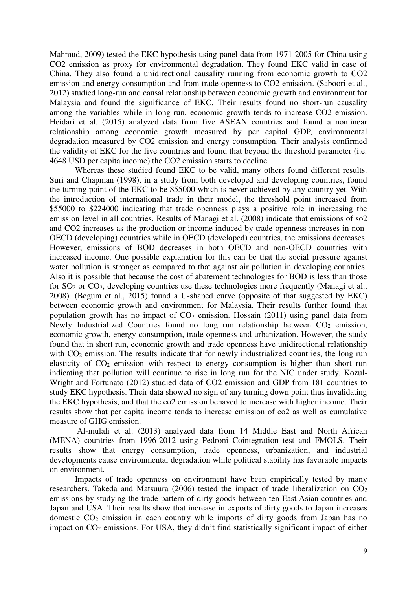[Mahmud, 2009\)](#page-23-6) tested the EKC hypothesis using panel data from 1971-2005 for China using CO2 emission as proxy for environmental degradation. They found EKC valid in case of China. They also found a unidirectional causality running from economic growth to CO2 emission and energy consumption and from trade openness to CO2 emission. [\(Saboori et al.,](#page-24-8)  [2012\)](#page-24-8) studied long-run and causal relationship between economic growth and environment for Malaysia and found the significance of EKC. Their results found no short-run causality among the variables while in long-run, economic growth tends to increase CO2 emission. [Heidari et al. \(2015\)](#page-23-7) analyzed data from five ASEAN countries and found a nonlinear relationship among economic growth measured by per capital GDP, environmental degradation measured by CO2 emission and energy consumption. Their analysis confirmed the validity of EKC for the five countries and found that beyond the threshold parameter (i.e. 4648 USD per capita income) the CO2 emission starts to decline.

Whereas these studied found EKC to be valid, many others found different results. [Suri and Chapman \(1998\)](#page-24-1), in a study from both developed and developing countries, found the turning point of the EKC to be \$55000 which is never achieved by any country yet. With the introduction of international trade in their model, the threshold point increased from \$55000 to \$224000 indicating that trade openness plays a positive role in increasing the emission level in all countries. Results of [Managi et al. \(2008\)](#page-23-5) indicate that emissions of so2 and CO2 increases as the production or income induced by trade openness increases in non-OECD (developing) countries while in OECD (developed) countries, the emissions decreases. However, emissions of BOD decreases in both OECD and non-OECD countries with increased income. One possible explanation for this can be that the social pressure against water pollution is stronger as compared to that against air pollution in developing countries. Also it is possible that because the cost of abatement technologies for BOD is less than those for SO2 or CO2, developing countries use these technologies more frequently [\(Managi et al.,](#page-23-5)  [2008\)](#page-23-5). [\(Begum et al., 2015\)](#page-22-11) found a U-shaped curve (opposite of that suggested by EKC) between economic growth and environment for Malaysia. Their results further found that population growth has no impact of  $CO<sub>2</sub>$  emission. [Hossain \(2011\)](#page-23-8) using panel data from Newly Industrialized Countries found no long run relationship between CO<sub>2</sub> emission, economic growth, energy consumption, trade openness and urbanization. However, the study found that in short run, economic growth and trade openness have unidirectional relationship with  $CO<sub>2</sub>$  emission. The results indicate that for newly industrialized countries, the long run elasticity of  $CO<sub>2</sub>$  emission with respect to energy consumption is higher than short run indicating that pollution will continue to rise in long run for the NIC under study. [Kozul-](#page-23-4)[Wright and Fortunato \(2012\)](#page-23-4) studied data of CO2 emission and GDP from 181 countries to study EKC hypothesis. Their data showed no sign of any turning down point thus invalidating the EKC hypothesis, and that the co2 emission behaved to increase with higher income. Their results show that per capita income tends to increase emission of co2 as well as cumulative measure of GHG emission.

 [Al-mulali et al. \(2013\)](#page-22-7) analyzed data from 14 Middle East and North African (MENA) countries from 1996-2012 using Pedroni Cointegration test and FMOLS. Their results show that energy consumption, trade openness, urbanization, and industrial developments cause environmental degradation while political stability has favorable impacts on environment.

Impacts of trade openness on environment have been empirically tested by many researchers. [Takeda and Matsuura \(2006\)](#page-24-0) tested the impact of trade liberalization on  $CO<sub>2</sub>$ emissions by studying the trade pattern of dirty goods between ten East Asian countries and Japan and USA. Their results show that increase in exports of dirty goods to Japan increases domestic CO<sub>2</sub> emission in each country while imports of dirty goods from Japan has no impact on CO<sub>2</sub> emissions. For USA, they didn't find statistically significant impact of either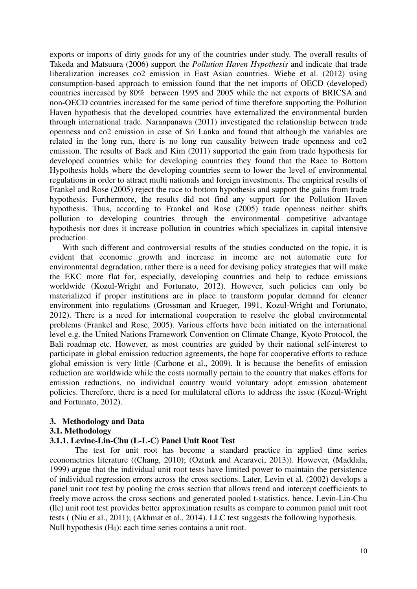exports or imports of dirty goods for any of the countries under study. The overall results of [Takeda and Matsuura \(2006\)](#page-24-0) support the *Pollution Haven Hypothesis* and indicate that trade liberalization increases co2 emission in East Asian countries. [Wiebe et al. \(2012\)](#page-24-7) using consumption-based approach to emission found that the net imports of OECD (developed) countries increased by 80% between 1995 and 2005 while the net exports of BRICSA and non-OECD countries increased for the same period of time therefore supporting the Pollution Haven hypothesis that the developed countries have externalized the environmental burden through international trade. [Naranpanawa \(2011\)](#page-23-9) investigated the relationship between trade openness and co2 emission in case of Sri Lanka and found that although the variables are related in the long run, there is no long run causality between trade openness and co2 emission. The results of [Baek and Kim \(2011\)](#page-22-5) supported the gain from trade hypothesis for developed countries while for developing countries they found that the Race to Bottom Hypothesis holds where the developing countries seem to lower the level of environmental regulations in order to attract multi nationals and foreign investments. The empirical results of [Frankel and Rose \(2005\)](#page-22-9) reject the race to bottom hypothesis and support the gains from trade hypothesis. Furthermore, the results did not find any support for the Pollution Haven hypothesis. Thus, according to [Frankel and Rose \(2005\)](#page-22-9) trade openness neither shifts pollution to developing countries through the environmental competitive advantage hypothesis nor does it increase pollution in countries which specializes in capital intensive production.

With such different and controversial results of the studies conducted on the topic, it is evident that economic growth and increase in income are not automatic cure for environmental degradation, rather there is a need for devising policy strategies that will make the EKC more flat for, especially, developing countries and help to reduce emissions worldwide [\(Kozul-Wright and Fortunato, 2012\)](#page-23-4). However, such policies can only be materialized if proper institutions are in place to transform popular demand for cleaner environment into regulations [\(Grossman and Krueger, 1991,](#page-22-6) [Kozul-Wright and Fortunato,](#page-23-4)  [2012\)](#page-23-4). There is a need for international cooperation to resolve the global environmental problems [\(Frankel and Rose, 2005\)](#page-22-9). Various efforts have been initiated on the international level e.g. the United Nations Framework Convention on Climate Change, Kyoto Protocol, the Bali roadmap etc. However, as most countries are guided by their national self-interest to participate in global emission reduction agreements, the hope for cooperative efforts to reduce global emission is very little [\(Carbone et al., 2009\)](#page-22-12). It is because the benefits of emission reduction are worldwide while the costs normally pertain to the country that makes efforts for emission reductions, no individual country would voluntary adopt emission abatement policies. Therefore, there is a need for multilateral efforts to address the issue [\(Kozul-Wright](#page-23-4)  [and Fortunato, 2012\)](#page-23-4).

## **3. Methodology and Data**

#### **3.1. Methodology**

# **3.1.1. Levine-Lin-Chu (L-L-C) Panel Unit Root Test**

The test for unit root has become a standard practice in applied time series econometrics literature ([\(Chang, 2010\)](#page-22-13); [\(Ozturk and Acaravci, 2013\)](#page-23-10)). However, [\(Maddala,](#page-23-11)  [1999\)](#page-23-11) argue that the individual unit root tests have limited power to maintain the persistence of individual regression errors across the cross sections. Later, [Levin et al. \(2002\)](#page-23-12) develops a panel unit root test by pooling the cross section that allows trend and intercept coefficients to freely move across the cross sections and generated pooled t-statistics. hence, Levin-Lin-Chu (llc) unit root test provides better approximation results as compare to common panel unit root tests ( [\(Niu et al., 2011\)](#page-23-13); [\(Akhmat et al., 2014\)](#page-21-0). LLC test suggests the following hypothesis. Null hypothesis  $(H<sub>0</sub>)$ : each time series contains a unit root.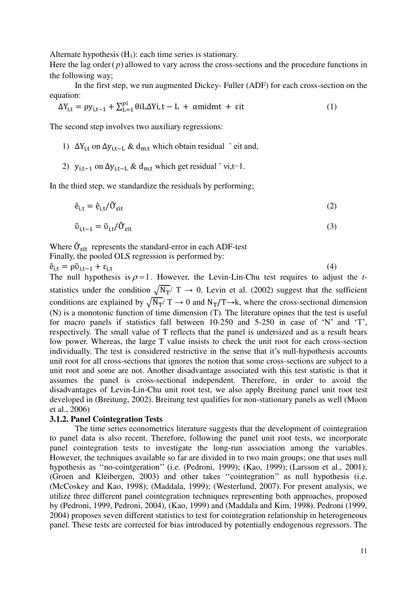Alternate hypothesis  $(H_1)$ : each time series is stationary.

Here the lag order $(p)$  allowed to vary across the cross-sections and the procedure functions in the following way;

In the first step, we run augmented Dickey- Fuller (ADF) for each cross-section on the equation:

$$
\Delta Y_{i,t} = \rho y_{i,t-1} + \sum_{L=1}^{p_1} \theta i L \Delta Y_i, t - L + \alpha m i d m t + \varepsilon i t \tag{1}
$$

The second step involves two auxiliary regressions:

1)  $\Delta Y_{i,t}$  on  $\Delta y_{i,t-L}$  & d<sub>m,t</sub> which obtain residual  $\hat{ }$  eit and,

2)  $y_{i,t-1}$  on  $\Delta y_{i,t-L}$  & d<sub>m,t</sub> which get residual ^ vi,t-1.

In the third step, we standardize the residuals by performing;

$$
\tilde{e}_{i,t} = \hat{e}_{i,t}/\tilde{O}_{\text{eit}} \tag{2}
$$

$$
\tilde{\upsilon}_{i,t-1} = \tilde{\upsilon}_{i,t} / \tilde{O}_{\text{eit}} \tag{3}
$$

Where  $\tilde{\sigma}_{\text{sit}}$  represents the standard-error in each ADF-test

Finally, the pooled OLS regression is performed by:

 $\tilde{e}_{i,t} = \rho \tilde{v}_{i,t-1} + \varepsilon_{i,t}$  (4)

The null hypothesis is  $\rho = 1$ . However, the Levin-Lin-Chu test requires to adjust the *t*statistics under the condition  $\sqrt{N_T}/T \rightarrow 0$ . Levin et al. (2002) suggest that the sufficient conditions are explained by  $\sqrt{N_T}/T \rightarrow 0$  and  $N_T/T \rightarrow k$ , where the cross-sectional dimension (N) is a monotonic function of time dimension (T). The literature opines that the test is useful for macro panels if statistics fall between 10-250 and 5-250 in case of 'N' and 'T', respectively. The small value of T reflects that the panel is undersized and as a result bears low power. Whereas, the large T value insists to check the unit root for each cross-section individually. The test is considered restrictive in the sense that it's null-hypothesis accounts unit root for all cross-sections that ignores the notion that some cross-sections are subject to a unit root and some are not. Another disadvantage associated with this test statistic is that it assumes the panel is cross-sectional independent. Therefore, in order to avoid the disadvantages of Levin-Lin-Chu unit root test, we also apply Breitung panel unit root test developed in [\(Breitung, 2002\)](#page-22-14). Breitung test qualifies for non-stationary panels as well (Moon et al., 2006)

## **3.1.2. Panel Cointegration Tests**

The time series econometrics literature suggests that the development of cointegration to panel data is also recent. Therefore, following the panel unit root tests, we incorporate panel cointegration tests to investigate the long-run association among the variables. However, the techniques available so far are divided in to two main groups; one that uses null hypothesis as ''no-cointgeration'' (i.e. [\(Pedroni, 1999\)](#page-23-14); [\(Kao, 1999\)](#page-23-15); [\(Larsson et al., 2001\)](#page-23-16); [\(Groen and Kleibergen, 2003\)](#page-22-15) and other takes ''cointegration'' as null hypothesis (i.e. [\(McCoskey and Kao, 1998\)](#page-23-17); [\(Maddala, 1999\)](#page-23-11); [\(Westerlund, 2007\)](#page-24-9). For present analysis, we utilize three different panel cointegration techniques representing both approaches, proposed by [\(Pedroni, 1999,](#page-23-14) [Pedroni, 2004\)](#page-24-10), [\(Kao, 1999\)](#page-23-15) and [\(Maddala and Kim, 1998\)](#page-23-18). [Pedroni \(1999,](#page-23-14) 2004) proposes seven different statistics to test for cointegration relationship in heterogeneous panel. These tests are corrected for bias introduced by potentially endogenous regressors. The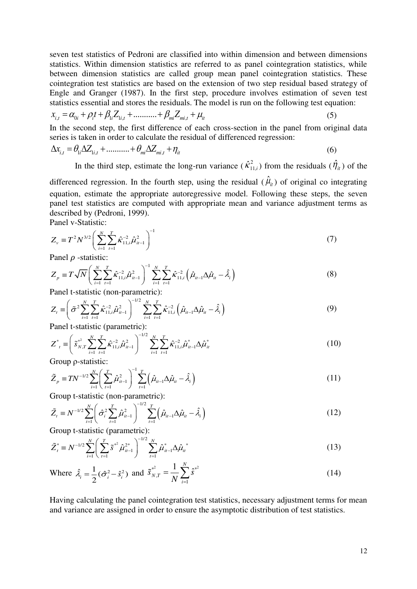seven test statistics of Pedroni are classified into within dimension and between dimensions statistics. Within dimension statistics are referred to as panel cointegration statistics, while between dimension statistics are called group mean panel cointegration statistics. These cointegration test statistics are based on the extension of two step residual based strategy of Engle and Granger (1987). In the first step, procedure involves estimation of seven test statistics essential and stores the residuals. The model is run on the following test equation:

$$
x_{i,t} = \alpha_{0i} + \rho_i t + \beta_{1i} Z_{1i,t} + \dots + \beta_{mi} Z_{mi,t} + \mu_{it}
$$
\n(5)

In the second step, the first difference of each cross-section in the panel from original data series is taken in order to calculate the residual of differenced regression:

$$
\Delta x_{i,t} = \theta_{1i} \Delta Z_{1i,t} + \dots + \theta_{mi} \Delta Z_{mi,t} + \eta_{it}
$$
\n
$$
\tag{6}
$$

In the third step, estimate the long-run variance  $(\hat{\kappa}_{11,i}^2)$  from the residuals  $(\hat{\eta}_{it})$  of the

differenced regression. In the fourth step, using the residual  $(\hat{\mu}_i)$  of original co integrating equation, estimate the appropriate autoregressive model. Following these steps, the seven panel test statistics are computed with appropriate mean and variance adjustment terms as described by [\(Pedroni, 1999\)](#page-23-14).

Panel v-Statistic:

$$
Z_{\nu} \equiv T^2 N^{3/2} \left( \sum_{i=1}^N \sum_{t=1}^T \hat{\kappa}_{11,i}^{-2} \hat{\mu}_{it-1}^2 \right)^{-1}
$$
 (7)

Panel  $\rho$  -statistic:

$$
Z_{p} = T\sqrt{N} \left( \sum_{i=1}^{N} \sum_{t=1}^{T} \hat{\kappa}_{11,i}^{-2} \hat{\mu}_{it-1}^{2} \right)^{-1} \sum_{i=1}^{N} \sum_{t=1}^{T} \hat{\kappa}_{11,i}^{-2} \left( \hat{\mu}_{it-1} \Delta \hat{\mu}_{it} - \hat{\lambda}_{i} \right)
$$
\nGraphs that is the equation *con* parametric:

\n(8)

Panel t-statistic (non-parametric):

$$
Z_{t} = \left(\tilde{\sigma}^{2} \sum_{i=1}^{N} \sum_{t=1}^{T} \hat{\kappa}_{11,i}^{-2} \hat{\mu}_{it-1}^{2}\right)^{-1/2} \sum_{i=1}^{N} \sum_{t=1}^{T} \hat{\kappa}_{11,i}^{-2} \left(\hat{\mu}_{it-1} \Delta \hat{\mu}_{it} - \hat{\lambda}_{i}\right)
$$
(9)

Panel t-statistic (parametric):

$$
Z_{t}^{*} = \left(\tilde{s}_{N,T}^{*2} \sum_{i=1}^{N} \sum_{t=1}^{T} \hat{\kappa}_{11,i}^{-2} \hat{\mu}_{it-1}^{2}\right)^{-1/2} \sum_{i=1}^{N} \sum_{t=1}^{T} \hat{\kappa}_{11,i}^{-2} \hat{\mu}_{it-1}^{*} \Delta \hat{\mu}_{it}^{*}
$$
\n(10)

Group ρ-statistic:

$$
\tilde{Z}_p \equiv TN^{-1/2} \sum_{i=1}^N \left( \sum_{t=1}^T \hat{\mu}_{it-1}^2 \right)^{-1} \sum_{t=1}^T \left( \hat{\mu}_{it-1} \Delta \hat{\mu}_{it} - \hat{\lambda}_i \right)
$$
\n(11)

Group t-statistic (non-parametric):

$$
\tilde{Z}_i = N^{-1/2} \sum_{i=1}^N \left( \hat{\sigma}_i^2 \sum_{t=1}^T \hat{\mu}_{it-1}^2 \right)^{-1/2} \sum_{t=1}^T \left( \hat{\mu}_{it-1} \Delta \hat{\mu}_{it} - \hat{\lambda}_i \right)
$$
\nGiven the statistic (normalization).

Group t-statistic (parametric):

$$
\tilde{Z}_t^* = N^{-1/2} \sum_{i=1}^N \left( \sum_{t=1}^T \tilde{s}^{*^2} \hat{\mu}_{it-1}^{2^*} \right)^{-1/2} \sum_{t=1}^N \hat{\mu}_{it-1}^* \Delta \hat{\mu}_{it}^*
$$
(13)

Where 
$$
\hat{\lambda}_i = \frac{1}{2} (\hat{\sigma}_i^2 - \hat{s}_i^2)
$$
 and  $\tilde{s}_{N,T}^{*2} = \frac{1}{N} \sum_{i=1}^N \hat{s}^{*2}$  (14)

Having calculating the panel cointegration test statistics, necessary adjustment terms for mean and variance are assigned in order to ensure the asymptotic distribution of test statistics.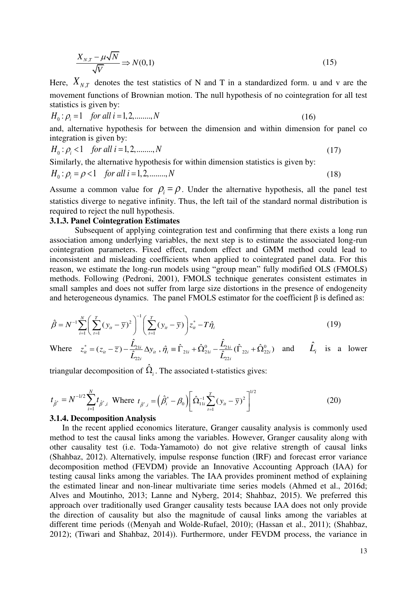$$
\frac{X_{N,T} - \mu\sqrt{N}}{\sqrt{V}} \Rightarrow N(0,1) \tag{15}
$$

Here,  $X_{N,T}$  denotes the test statistics of N and T in a standardized form. u and v are the movement functions of Brownian motion. The null hypothesis of no cointegration for all test statistics is given by:

$$
H_0: \rho_i = 1 \quad \text{for all } i = 1, 2, \dots, N \tag{16}
$$

and, alternative hypothesis for between the dimension and within dimension for panel co integration is given by:

$$
H_0: \rho_i < 1 \quad \text{for all } i = 1, 2, \dots, N \tag{17}
$$

Similarly, the alternative hypothesis for within dimension statistics is given by:  $H_0: \rho_i = \rho < 1$  *for all i* = 1, 2, ..., *N* (18)

Assume a common value for  $\rho_i = \rho$ . Under the alternative hypothesis, all the panel test statistics diverge to negative infinity. Thus, the left tail of the standard normal distribution is required to reject the null hypothesis.

#### **3.1.3. Panel Cointegration Estimates**

Subsequent of applying cointegration test and confirming that there exists a long run association among underlying variables, the next step is to estimate the associated long-run cointegration parameters. Fixed effect, random effect and GMM method could lead to inconsistent and misleading coefficients when applied to cointegrated panel data. For this reason, we estimate the long-run models using "group mean" fully modified OLS (FMOLS) methods. Following [\(Pedroni, 2001\)](#page-24-11), FMOLS technique generates consistent estimates in small samples and does not suffer from large size distortions in the presence of endogeneity and heterogeneous dynamics. The panel FMOLS estimator for the coefficient  $\beta$  is defined as:

$$
\hat{\beta} = N^{-1} \sum_{i=1}^{N} \left( \sum_{t=1}^{T} (y_{it} - \overline{y})^2 \right)^{-1} \left( \sum_{t=1}^{T} (y_{it} - \overline{y}) \right) z_{it}^* - T \hat{\eta}_i
$$
\n(19)

Where  $z_{ii}^* = (z_{ii} - \overline{z}) - \frac{L_{21i}}{\hat{r}} \Delta y_{ii}$ ,  $\hat{\eta}_i = \hat{\Gamma}_{21i} + \hat{\Omega}_{21i}^0 - \frac{L_{21i}}{\hat{r}} (\hat{\Gamma}_{22i} + \hat{\Omega}_{22i}^0)$  $\mathcal{L}_{22}$  $\hat{\mathbf{f}}_{ii}^* = (z_{ii} - \overline{z}) - \frac{\hat{L}_{21i}}{\hat{L}_{22i}} \Delta y_{ii}$ ,  $\hat{\eta}_i \equiv \hat{\Gamma}_{21i} + \hat{\Omega}_{21i}^0 - \frac{\hat{L}_{21i}}{\hat{L}_{22i}} (\hat{\Gamma}_{22i} + \hat{\Omega}_{22i}^0)$  $\mathbf{L}_{22i}$  $z_{ii}^* = (z_{ii} - \overline{z}) - \frac{\tilde{L}_{21i}}{z} \Delta y_{ii}^*$ ,  $\hat{\eta}_i \equiv \hat{\Gamma}_{21i} + \hat{\Omega}_{21i}^0 - \frac{\tilde{L}_{21i}}{z}$  $L = (z_{ii} - \overline{z}) - \frac{L_{21i}}{\hat{L}_{22i}} \Delta y_{ii}, \hat{\eta}_i = \hat{\Gamma}_{21i} + \hat{\Omega}_{21i}^0 - \frac{L_{21i}}{\hat{L}_{22i}} (\hat{\Gamma}_{22i} + \hat{\Omega}_{22i}^0)$  and  $\hat{L}_i$  is a lower

triangular decomposition of  $\hat{\Omega}_i$ . The associated t-statistics gives:

$$
t_{\hat{\beta}^*} = N^{-1/2} \sum_{i=1}^N t_{\hat{\beta}^*, i} \text{ Where } t_{\hat{\beta}^*, i} = (\hat{\beta}_i^* - \beta_0) \left[ \hat{\Omega}_{11i}^{-1} \sum_{t=1}^T (y_{it} - \overline{y})^2 \right]^{1/2}
$$
(20)

#### **3.1.4. Decomposition Analysis**

In the recent applied economics literature, Granger causality analysis is commonly used method to test the causal links among the variables. However, Granger causality along with other causality test (i.e. Toda-Yamamoto) do not give relative strength of causal links [\(Shahbaz, 2012\)](#page-24-12). Alternatively, impulse response function (IRF) and forecast error variance decomposition method (FEVDM) provide an Innovative Accounting Approach (IAA) for testing causal links among the variables. The IAA provides prominent method of explaining the estimated linear and non-linear multivariate time series models (Ahmed et al., 2016d; [Alves and Moutinho, 2013;](#page-22-16) [Lanne and Nyberg, 2014;](#page-23-19) [Shahbaz, 2015\)](#page-24-4). We preferred this approach over traditionally used Granger causality tests because IAA does not only provide the direction of causality but also the magnitude of causal links among the variables at different time periods ([\(Menyah and Wolde-Rufael, 2010\)](#page-23-20); [\(Hassan et al., 2011\)](#page-22-17); [\(Shahbaz,](#page-24-12)  [2012\)](#page-24-12); [\(Tiwari and Shahbaz, 2014\)](#page-24-13)). Furthermore, under FEVDM process, the variance in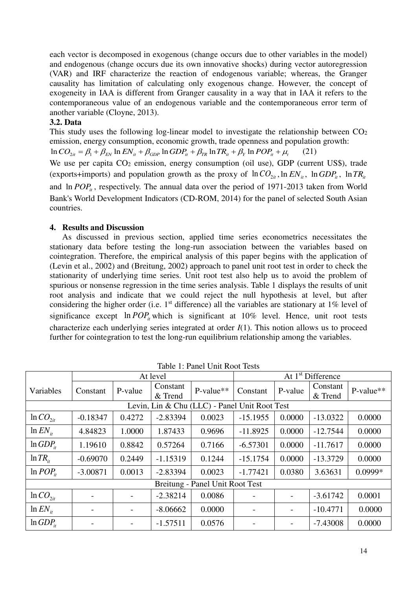each vector is decomposed in exogenous (change occurs due to other variables in the model) and endogenous (change occurs due its own innovative shocks) during vector autoregression (VAR) and IRF characterize the reaction of endogenous variable; whereas, the Granger causality has limitation of calculating only exogenous change. However, the concept of exogeneity in IAA is different from Granger causality in a way that in IAA it refers to the contemporaneous value of an endogenous variable and the contemporaneous error term of another variable [\(Cloyne, 2013\)](#page-22-8).

## **3.2. Data**

This study uses the following log-linear model to investigate the relationship between  $CO<sub>2</sub>$ emission, energy consumption, economic growth, trade openness and population growth:

 $\ln CO_{2it} = \beta_1 + \beta_{EN} \ln EN_{it} + \beta_{GDP} \ln GDP_{it} + \beta_{TR} \ln TR_{it} + \beta_Y \ln POP_{it} + \mu_t$  (21)

We use per capita CO<sub>2</sub> emission, energy consumption (oil use), GDP (current US\$), trade (exports+imports) and population growth as the proxy of  $\ln CO_{2it}$ ,  $\ln EN_{it}$ ,  $\ln GDP_{it}$ ,  $\ln TR_{it}$ and  $\ln POP_i$ , respectively. The annual data over the period of 1971-2013 taken from World Bank's World Development Indicators (CD-ROM, 2014) for the panel of selected South Asian countries.

# **4. Results and Discussion**

As discussed in previous section, applied time series econometrics necessitates the stationary data before testing the long-run association between the variables based on cointegration. Therefore, the empirical analysis of this paper begins with the application of [\(Levin et al., 2002\)](#page-23-12) and [\(Breitung, 2002\)](#page-22-14) approach to panel unit root test in order to check the stationarity of underlying time series. Unit root test also help us to avoid the problem of spurious or nonsense regression in the time series analysis. Table 1 displays the results of unit root analysis and indicate that we could reject the null hypothesis at level, but after considering the higher order (i.e.  $1<sup>st</sup>$  difference) all the variables are stationary at  $1\%$  level of significance except  $\ln POP_i$  which is significant at 10% level. Hence, unit root tests characterize each underlying series integrated at order *I*(1). This notion allows us to proceed further for cointegration to test the long-run equilibrium relationship among the variables.

|                                 | Taoiv T. I and Only Root Tests |          |                     |                                               |            |                               |                     |           |  |
|---------------------------------|--------------------------------|----------|---------------------|-----------------------------------------------|------------|-------------------------------|---------------------|-----------|--|
|                                 |                                | At level |                     |                                               |            | At 1 <sup>st</sup> Difference |                     |           |  |
| Variables                       | Constant                       | P-value  | Constant<br>& Trend | P-value**                                     | Constant   | P-value                       | Constant<br>& Trend | P-value** |  |
|                                 |                                |          |                     | Levin, Lin & Chu (LLC) - Panel Unit Root Test |            |                               |                     |           |  |
| $ln CO_{2it}$                   | $-0.18347$                     | 0.4272   | $-2.83394$          | 0.0023                                        | $-15.1955$ | 0.0000                        | $-13.0322$          | 0.0000    |  |
| $\ln EN_{it}$                   | 4.84823                        | 1.0000   | 1.87433             | 0.9696                                        | $-11.8925$ | 0.0000                        | $-12.7544$          | 0.0000    |  |
| $ln GDP_{it}$                   | 1.19610                        | 0.8842   | 0.57264             | 0.7166                                        | $-6.57301$ | 0.0000                        | $-11.7617$          | 0.0000    |  |
| $\ln TR_{i}$                    | $-0.69070$                     | 0.2449   | $-1.15319$          | 0.1244                                        | $-15.1754$ | 0.0000                        | $-13.3729$          | 0.0000    |  |
| $\ln POP_{ii}$                  | $-3.00871$                     | 0.0013   | $-2.83394$          | 0.0023                                        | $-1.77421$ | 0.0380                        | 3.63631             | $0.0999*$ |  |
| Breitung - Panel Unit Root Test |                                |          |                     |                                               |            |                               |                     |           |  |
| $ln CO_{2it}$                   |                                |          | $-2.38214$          | 0.0086                                        |            | $\overline{\phantom{a}}$      | $-3.61742$          | 0.0001    |  |
| $\ln EN_{it}$                   |                                |          | $-8.06662$          | 0.0000                                        |            | $\overline{\phantom{a}}$      | $-10.4771$          | 0.0000    |  |
| $ln GDP_{it}$                   |                                |          | $-1.57511$          | 0.0576                                        |            |                               | $-7.43008$          | 0.0000    |  |

Table 1: Panel Unit Root Tests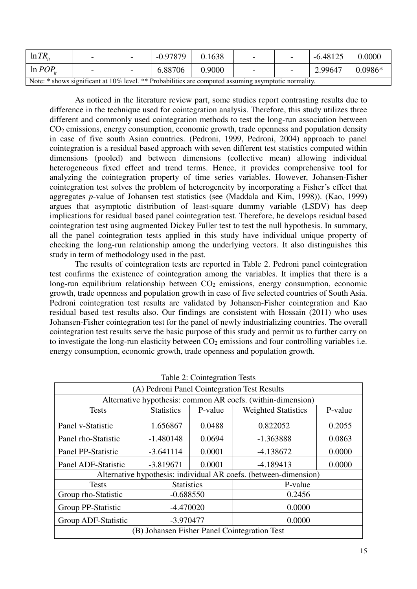| $\ln TR_{\dots}$                                                                                     |  |  | $-0.97879$ | 0.1638 | $\overline{\phantom{0}}$ | $\overline{\phantom{a}}$ | $-6.48125$ | 0.0000    |
|------------------------------------------------------------------------------------------------------|--|--|------------|--------|--------------------------|--------------------------|------------|-----------|
| $\ln POP$                                                                                            |  |  | 6.88706    | 0.9000 | $\overline{\phantom{0}}$ | $\overline{\phantom{0}}$ | 2.99647    | $0.0986*$ |
| Note: * shows significant at 10% level. ** Probabilities are computed assuming asymptotic normality. |  |  |            |        |                          |                          |            |           |

As noticed in the literature review part, some studies report contrasting results due to difference in the technique used for cointegration analysis. Therefore, this study utilizes three different and commonly used cointegration methods to test the long-run association between  $CO<sub>2</sub>$  emissions, energy consumption, economic growth, trade openness and population density in case of five south Asian countries. [\(Pedroni, 1999,](#page-23-14) [Pedroni, 2004\)](#page-24-10) approach to panel cointegration is a residual based approach with seven different test statistics computed within dimensions (pooled) and between dimensions (collective mean) allowing individual heterogeneous fixed effect and trend terms. Hence, it provides comprehensive tool for analyzing the cointegration property of time series variables. However, Johansen-Fisher cointegration test solves the problem of heterogeneity by incorporating a Fisher's effect that aggregates *p*-value of Johansen test statistics (see [\(Maddala and Kim, 1998\)](#page-23-18)). [\(Kao, 1999\)](#page-23-15) argues that asymptotic distribution of least-square dummy variable (LSDV) has deep implications for residual based panel cointegration test. Therefore, he develops residual based cointegration test using augmented Dickey Fuller test to test the null hypothesis. In summary, all the panel cointegration tests applied in this study have individual unique property of checking the long-run relationship among the underlying vectors. It also distinguishes this study in term of methodology used in the past.

The results of cointegration tests are reported in Table 2. Pedroni panel cointegration test confirms the existence of cointegration among the variables. It implies that there is a long-run equilibrium relationship between CO<sub>2</sub> emissions, energy consumption, economic growth, trade openness and population growth in case of five selected countries of South Asia. Pedroni cointegration test results are validated by Johansen-Fisher cointegration and Kao residual based test results also. Our findings are consistent with Hossain (2011) who uses Johansen-Fisher cointegration test for the panel of newly industrializing countries. The overall cointegration test results serve the basic purpose of this study and permit us to further carry on to investigate the long-run elasticity between  $CO<sub>2</sub>$  emissions and four controlling variables i.e. energy consumption, economic growth, trade openness and population growth.

| Table 2. Comitegration Tests                 |                                |                                                  |                                                                  |        |  |  |
|----------------------------------------------|--------------------------------|--------------------------------------------------|------------------------------------------------------------------|--------|--|--|
| (A) Pedroni Panel Cointegration Test Results |                                |                                                  |                                                                  |        |  |  |
|                                              |                                |                                                  | Alternative hypothesis: common AR coefs. (within-dimension)      |        |  |  |
| <b>Tests</b>                                 | <b>Statistics</b>              | P-value<br><b>Weighted Statistics</b><br>P-value |                                                                  |        |  |  |
| Panel v-Statistic                            | 0.0488<br>0.822052<br>1.656867 |                                                  |                                                                  | 0.2055 |  |  |
| Panel rho-Statistic                          | $-1.480148$                    | $-1.363888$                                      | 0.0863                                                           |        |  |  |
| Panel PP-Statistic                           | 0.0001<br>$-3.641114$          |                                                  | $-4.138672$                                                      | 0.0000 |  |  |
| Panel ADF-Statistic                          | $-3.819671$                    | 0.0001                                           | $-4.189413$<br>0.0000                                            |        |  |  |
|                                              |                                |                                                  | Alternative hypothesis: individual AR coefs. (between-dimension) |        |  |  |
| <b>Tests</b>                                 | <b>Statistics</b>              |                                                  | P-value                                                          |        |  |  |
| Group rho-Statistic                          | $-0.688550$                    |                                                  | 0.2456                                                           |        |  |  |
| Group PP-Statistic                           | $-4.470020$                    |                                                  | 0.0000                                                           |        |  |  |
| Group ADF-Statistic                          | $-3.970477$                    |                                                  | 0.0000                                                           |        |  |  |
| (B) Johansen Fisher Panel Cointegration Test |                                |                                                  |                                                                  |        |  |  |

Table 2: Cointegration Tests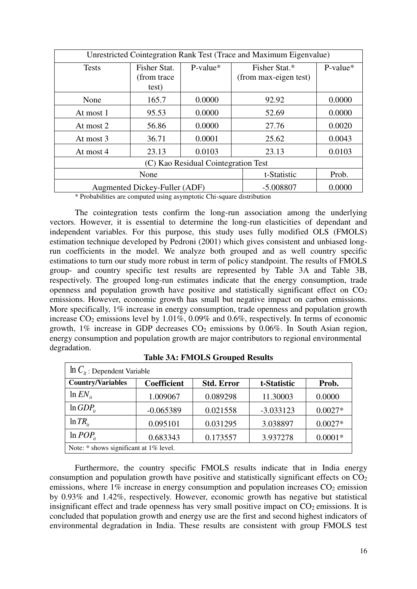| Unrestricted Cointegration Rank Test (Trace and Maximum Eigenvalue) |                                       |             |                                        |            |  |
|---------------------------------------------------------------------|---------------------------------------|-------------|----------------------------------------|------------|--|
| <b>Tests</b>                                                        | Fisher Stat.<br>(from trace)<br>test) | $P-value*$  | Fisher Stat.*<br>(from max-eigen test) | $P-value*$ |  |
|                                                                     |                                       |             |                                        |            |  |
| None                                                                | 165.7                                 | 0.0000      | 92.92                                  | 0.0000     |  |
| At most 1                                                           | 95.53                                 | 0.0000      | 52.69                                  | 0.0000     |  |
| At most 2                                                           | 56.86                                 | 0.0000      | 27.76                                  | 0.0020     |  |
| At most 3                                                           | 36.71                                 | 0.0001      | 25.62                                  | 0.0043     |  |
| At most 4                                                           | 23.13                                 | 0.0103      | 23.13                                  | 0.0103     |  |
| (C) Kao Residual Cointegration Test                                 |                                       |             |                                        |            |  |
|                                                                     | None                                  | t-Statistic | Prob.                                  |            |  |
|                                                                     | Augmented Dickey-Fuller (ADF)         |             | $-5.008807$                            | 0.0000     |  |

\* Probabilities are computed using asymptotic Chi-square distribution

The cointegration tests confirm the long-run association among the underlying vectors. However, it is essential to determine the long-run elasticities of dependant and independent variables. For this purpose, this study uses fully modified OLS (FMOLS) estimation technique developed by [Pedroni \(2001\)](#page-24-11) which gives consistent and unbiased longrun coefficients in the model. We analyze both grouped and as well country specific estimations to turn our study more robust in term of policy standpoint. The results of FMOLS group- and country specific test results are represented by Table 3A and Table 3B, respectively. The grouped long-run estimates indicate that the energy consumption, trade openness and population growth have positive and statistically significant effect on  $CO<sub>2</sub>$ emissions. However, economic growth has small but negative impact on carbon emissions. More specifically, 1% increase in energy consumption, trade openness and population growth increase  $CO_2$  emissions level by 1.01%, 0.09% and 0.6%, respectively. In terms of economic growth,  $1\%$  increase in GDP decreases  $CO<sub>2</sub>$  emissions by 0.06%. In South Asian region, energy consumption and population growth are major contributors to regional environmental degradation.

| $\ln C_{ii}$ : Dependent Variable      |                    |                   |             |           |  |  |
|----------------------------------------|--------------------|-------------------|-------------|-----------|--|--|
| <b>Country/Variables</b>               | <b>Coefficient</b> | <b>Std. Error</b> | t-Statistic | Prob.     |  |  |
| $\ln EN_{it}$                          | 1.009067           | 0.089298          | 11.30003    | 0.0000    |  |  |
| $ln GDP_{it}$                          | $-0.065389$        | 0.021558          | $-3.033123$ | $0.0027*$ |  |  |
| $\ln TR_{\mu}$                         | 0.095101           | 0.031295          | 3.038897    | $0.0027*$ |  |  |
| $ln POP_{it}$                          | 0.683343           | 0.173557          | 3.937278    | $0.0001*$ |  |  |
| Note: * shows significant at 1% level. |                    |                   |             |           |  |  |

**Table 3A: FMOLS Grouped Results** 

Furthermore, the country specific FMOLS results indicate that in India energy consumption and population growth have positive and statistically significant effects on  $CO<sub>2</sub>$ emissions, where  $1\%$  increase in energy consumption and population increases  $CO<sub>2</sub>$  emission by 0.93% and 1.42%, respectively. However, economic growth has negative but statistical insignificant effect and trade openness has very small positive impact on  $CO<sub>2</sub>$  emissions. It is concluded that population growth and energy use are the first and second highest indicators of environmental degradation in India. These results are consistent with group FMOLS test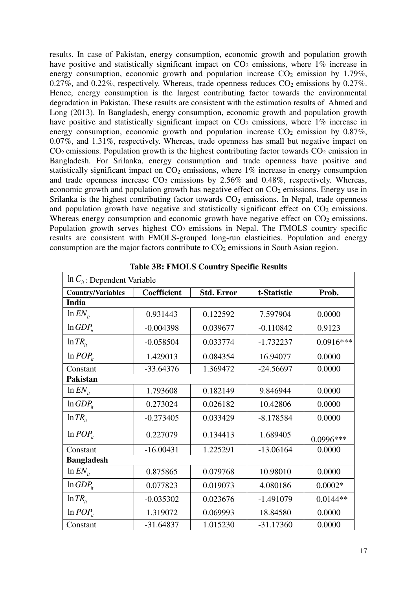results. In case of Pakistan, energy consumption, economic growth and population growth have positive and statistically significant impact on  $CO<sub>2</sub>$  emissions, where 1% increase in energy consumption, economic growth and population increase  $CO<sub>2</sub>$  emission by 1.79%, 0.27%, and 0.22%, respectively. Whereas, trade openness reduces  $CO<sub>2</sub>$  emissions by 0.27%. Hence, energy consumption is the largest contributing factor towards the environmental degradation in Pakistan. These results are consistent with the estimation results of Ahmed and Long (2013). In Bangladesh, energy consumption, economic growth and population growth have positive and statistically significant impact on  $CO<sub>2</sub>$  emissions, where 1% increase in energy consumption, economic growth and population increase  $CO<sub>2</sub>$  emission by 0.87%, 0.07%, and 1.31%, respectively. Whereas, trade openness has small but negative impact on  $CO<sub>2</sub>$  emissions. Population growth is the highest contributing factor towards  $CO<sub>2</sub>$  emission in Bangladesh. For Srilanka, energy consumption and trade openness have positive and statistically significant impact on  $CO<sub>2</sub>$  emissions, where 1% increase in energy consumption and trade openness increase  $CO<sub>2</sub>$  emissions by 2.56% and 0.48%, respectively. Whereas, economic growth and population growth has negative effect on  $CO<sub>2</sub>$  emissions. Energy use in Srilanka is the highest contributing factor towards  $CO<sub>2</sub>$  emissions. In Nepal, trade openness and population growth have negative and statistically significant effect on  $CO<sub>2</sub>$  emissions. Whereas energy consumption and economic growth have negative effect on  $CO<sub>2</sub>$  emissions. Population growth serves highest  $CO<sub>2</sub>$  emissions in Nepal. The FMOLS country specific results are consistent with FMOLS-grouped long-run elasticities. Population and energy consumption are the major factors contribute to  $CO<sub>2</sub>$  emissions in South Asian region.

| $\ln C_i$ : Dependent Variable |             |                   |             |             |  |  |  |
|--------------------------------|-------------|-------------------|-------------|-------------|--|--|--|
| <b>Country/Variables</b>       | Coefficient | <b>Std. Error</b> | t-Statistic | Prob.       |  |  |  |
| India                          |             |                   |             |             |  |  |  |
| $\ln EN_{it}$                  | 0.931443    | 0.122592          | 7.597904    | 0.0000      |  |  |  |
| $ln GDP_{it}$                  | $-0.004398$ | 0.039677          | $-0.110842$ | 0.9123      |  |  |  |
| $\ln TR_{\mu}$                 | $-0.058504$ | 0.033774          | $-1.732237$ | $0.0916***$ |  |  |  |
| $\ln POP_{ii}$                 | 1.429013    | 0.084354          | 16.94077    | 0.0000      |  |  |  |
| Constant                       | $-33.64376$ | 1.369472          | $-24.56697$ | 0.0000      |  |  |  |
| <b>Pakistan</b>                |             |                   |             |             |  |  |  |
| $\ln EN_{it}$                  | 1.793608    | 0.182149          | 9.846944    | 0.0000      |  |  |  |
| $ln GDP_{it}$                  | 0.273024    | 0.026182          | 10.42806    | 0.0000      |  |  |  |
| $\ln TR_{\mu}$                 | $-0.273405$ | 0.033429          | $-8.178584$ | 0.0000      |  |  |  |
| $ln POP_{it}$                  | 0.227079    | 0.134413          | 1.689405    | $0.0996***$ |  |  |  |
| Constant                       | $-16.00431$ | 1.225291          | $-13.06164$ | 0.0000      |  |  |  |
| <b>Bangladesh</b>              |             |                   |             |             |  |  |  |
| $\ln EN_{it}$                  | 0.875865    | 0.079768          | 10.98010    | 0.0000      |  |  |  |
| $ln GDP_{it}$                  | 0.077823    | 0.019073          | 4.080186    | $0.0002*$   |  |  |  |
| $\ln TR_{\mu}$                 | $-0.035302$ | 0.023676          | $-1.491079$ | $0.0144**$  |  |  |  |
| $ln POP_{i}$                   | 1.319072    | 0.069993          | 18.84580    | 0.0000      |  |  |  |
| Constant                       | $-31.64837$ | 1.015230          | $-31.17360$ | 0.0000      |  |  |  |

**Table 3B: FMOLS Country Specific Results**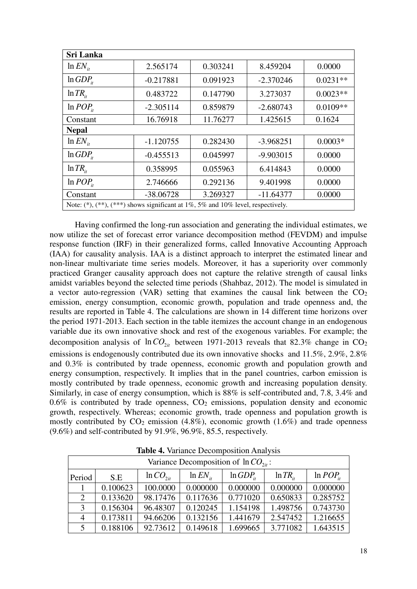| <b>Sri Lanka</b>                                                               |             |          |             |            |  |  |  |
|--------------------------------------------------------------------------------|-------------|----------|-------------|------------|--|--|--|
| $\ln EN_{it}$                                                                  | 2.565174    | 0.303241 | 8.459204    | 0.0000     |  |  |  |
| $ln GDP_{it}$                                                                  | $-0.217881$ | 0.091923 | $-2.370246$ | $0.0231**$ |  |  |  |
| $\ln TR_{i}$                                                                   | 0.483722    | 0.147790 | 3.273037    | $0.0023**$ |  |  |  |
| $\ln POP_{ii}$                                                                 | $-2.305114$ | 0.859879 | $-2.680743$ | $0.0109**$ |  |  |  |
| Constant                                                                       | 16.76918    | 11.76277 | 1.425615    | 0.1624     |  |  |  |
| <b>Nepal</b>                                                                   |             |          |             |            |  |  |  |
| $\ln EN_{it}$                                                                  | $-1.120755$ | 0.282430 | $-3.968251$ | $0.0003*$  |  |  |  |
| $ln GDP_{ii}$                                                                  | $-0.455513$ | 0.045997 | $-9.903015$ | 0.0000     |  |  |  |
| $\ln TR_{\mu}$                                                                 | 0.358995    | 0.055963 | 6.414843    | 0.0000     |  |  |  |
| $\ln POP_{i}$                                                                  | 2.746666    | 0.292136 | 9.401998    | 0.0000     |  |  |  |
| Constant                                                                       | $-38.06728$ | 3.269327 | $-11.64377$ | 0.0000     |  |  |  |
| Note: $(*), (**,(**)$ shows significant at 1%, 5% and 10% level, respectively. |             |          |             |            |  |  |  |

Having confirmed the long-run association and generating the individual estimates, we now utilize the set of forecast error variance decomposition method (FEVDM) and impulse response function (IRF) in their generalized forms, called Innovative Accounting Approach (IAA) for causality analysis. IAA is a distinct approach to interpret the estimated linear and non-linear multivariate time series models. Moreover, it has a superiority over commonly practiced Granger causality approach does not capture the relative strength of causal links amidst variables beyond the selected time periods [\(Shahbaz, 2012\)](#page-24-12). The model is simulated in a vector auto-regression (VAR) setting that examines the causal link between the  $CO<sub>2</sub>$ emission, energy consumption, economic growth, population and trade openness and, the results are reported in Table 4. The calculations are shown in 14 different time horizons over the period 1971-2013. Each section in the table itemizes the account change in an endogenous variable due its own innovative shock and rest of the exogenous variables. For example; the decomposition analysis of  $ln CO_{2it}$  between 1971-2013 reveals that 82.3% change in  $CO_2$ emissions is endogenously contributed due its own innovative shocks and 11.5%, 2.9%, 2.8% and 0.3% is contributed by trade openness, economic growth and population growth and energy consumption, respectively. It implies that in the panel countries, carbon emission is mostly contributed by trade openness, economic growth and increasing population density. Similarly, in case of energy consumption, which is 88% is self-contributed and, 7.8, 3.4% and  $0.6\%$  is contributed by trade openness,  $CO<sub>2</sub>$  emissions, population density and economic growth, respectively. Whereas; economic growth, trade openness and population growth is mostly contributed by  $CO_2$  emission (4.8%), economic growth (1.6%) and trade openness (9.6%) and self-contributed by 91.9%, 96.9%, 85.5, respectively.

| Variance Decomposition of $ln CO_{2i}$ : |          |               |               |              |                |               |  |
|------------------------------------------|----------|---------------|---------------|--------------|----------------|---------------|--|
| Period                                   | S.E      | $ln CO_{2it}$ | $\ln EN_{ii}$ | $ln GDP_{i}$ | $\ln TR_{\mu}$ | $ln POP_{it}$ |  |
|                                          | 0.100623 | 100.0000      | 0.000000      | 0.000000     | 0.000000       | 0.000000      |  |
| 2                                        | 0.133620 | 98.17476      | 0.117636      | 0.771020     | 0.650833       | 0.285752      |  |
| 3                                        | 0.156304 | 96.48307      | 0.120245      | 1.154198     | 1.498756       | 0.743730      |  |
| 4                                        | 0.173811 | 94.66206      | 0.132156      | 1.441679     | 2.547452       | 1.216655      |  |
| 5                                        | 0.188106 | 92.73612      | 0.149618      | 1.699665     | 3.771082       | 1.643515      |  |

**Table 4.** Variance Decomposition Analysis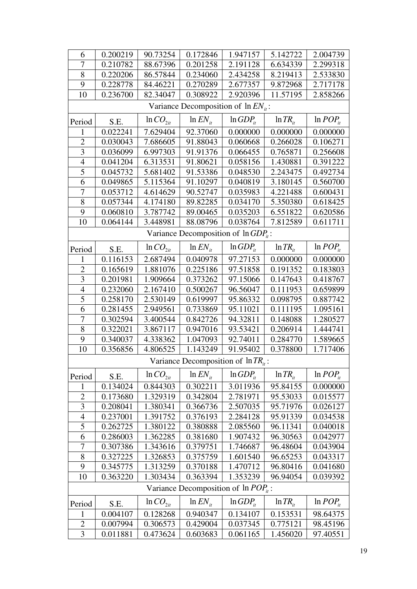| 6                                       | 0.200219 | 90.73254      | 0.172846                                   | 1.947157      | 5.142722      | 2.004739      |  |
|-----------------------------------------|----------|---------------|--------------------------------------------|---------------|---------------|---------------|--|
| $\overline{7}$                          | 0.210782 | 88.67396      | 0.201258                                   | 2.191128      | 6.634339      | 2.299318      |  |
| 8                                       | 0.220206 | 86.57844      | 0.234060                                   | 2.434258      | 8.219413      | 2.533830      |  |
| 9                                       | 0.228778 | 84.46221      | 0.270289                                   | 2.677357      | 9.872968      | 2.717178      |  |
| 10                                      | 0.236700 | 82.34047      | 0.308922                                   | 2.920396      | 11.57195      | 2.858266      |  |
|                                         |          |               | Variance Decomposition of $\ln EN_{ii}$ :  |               |               |               |  |
| Period                                  | S.E.     | $ln CO_{2it}$ | $\ln EN_{it}$                              | $ln GDP_{it}$ | $\ln TR_{it}$ | $ln POP_{it}$ |  |
| 1                                       | 0.022241 | 7.629404      | 92.37060                                   | 0.000000      | 0.000000      | 0.000000      |  |
| $\overline{2}$                          | 0.030043 | 7.686605      | 91.88043                                   | 0.060668      | 0.266028      | 0.106271      |  |
| 3                                       | 0.036099 | 6.997303      | 91.91376                                   | 0.066455      | 0.765871      | 0.256608      |  |
| $\overline{4}$                          | 0.041204 | 6.313531      | 91.80621                                   | 0.058156      | 1.430881      | 0.391222      |  |
| 5                                       | 0.045732 | 5.681402      | 91.53386                                   | 0.048530      | 2.243475      | 0.492734      |  |
| 6                                       | 0.049865 | 5.115364      | 91.10297                                   | 0.040819      | 3.180145      | 0.560700      |  |
| $\overline{7}$                          | 0.053712 | 4.614629      | 90.52747                                   | 0.035983      | 4.221488      | 0.600431      |  |
| 8                                       | 0.057344 | 4.174180      | 89.82285                                   | 0.034170      | 5.350380      | 0.618425      |  |
| 9                                       | 0.060810 | 3.787742      | 89.00465                                   | 0.035203      | 6.551822      | 0.620586      |  |
| 10                                      | 0.064144 | 3.448981      | 88.08796                                   | 0.038764      | 7.812589      | 0.611711      |  |
|                                         |          |               | Variance Decomposition of $\ln GDP_{ii}$ : |               |               |               |  |
| Period                                  | S.E.     | $ln CO_{2it}$ | $ln EN_{it}$                               | $ln GDP_{it}$ | $\ln TR_{it}$ | $ln POP_{it}$ |  |
| 1                                       | 0.116153 | 2.687494      | 0.040978                                   | 97.27153      | 0.000000      | 0.000000      |  |
| $\overline{2}$                          | 0.165619 | 1.881076      | 0.225186                                   | 97.51858      | 0.191352      | 0.183803      |  |
| 3                                       | 0.201981 | 1.909664      | 0.373262                                   | 97.15066      | 0.147643      | 0.418767      |  |
| $\overline{4}$                          | 0.232060 | 2.167410      | 0.500267                                   | 96.56047      | 0.111953      | 0.659899      |  |
| $\overline{5}$                          | 0.258170 | 2.530149      | 0.619997                                   | 95.86332      | 0.098795      | 0.887742      |  |
| 6                                       | 0.281455 | 2.949561      | 0.733869                                   | 95.11021      | 0.111195      | 1.095161      |  |
| 7                                       | 0.302594 | 3.400544      | 0.842726                                   | 94.32811      | 0.148088      | 1.280527      |  |
| 8                                       | 0.322021 | 3.867117      | 0.947016                                   | 93.53421      | 0.206914      | 1.444741      |  |
| 9                                       | 0.340037 | 4.338362      | 1.047093                                   | 92.74011      | 0.284770      | 1.589665      |  |
| 10                                      | 0.356856 | 4.806525      | 1.143249                                   | 91.95402      | 0.378800      | 1.717406      |  |
|                                         |          |               | Variance Decomposition of $\ln TR_{it}$ :  |               |               |               |  |
| Period                                  | S.E.     | $ln CO_{2it}$ | $\ln EN_{it}$                              | $ln GDP_{it}$ | $\ln TR_{it}$ | $ln POP_{it}$ |  |
| 1                                       | 0.134024 | 0.844303      | 0.302211                                   | 3.011936      | 95.84155      | 0.000000      |  |
| $\overline{c}$                          | 0.173680 | 1.329319      | 0.342804                                   | 2.781971      | 95.53033      | 0.015577      |  |
| 3                                       | 0.208041 | 1.380341      | 0.366736                                   | 2.507035      | 95.71976      | 0.026127      |  |
| $\overline{4}$                          | 0.237001 | 1.391752      | 0.376193                                   | 2.284128      | 95.91339      | 0.034538      |  |
| 5                                       | 0.262725 | 1.380122      | 0.380888                                   | 2.085560      | 96.11341      | 0.040018      |  |
| 6                                       | 0.286003 | 1.362285      | 0.381680                                   | 1.907432      | 96.30563      | 0.042977      |  |
| 7                                       | 0.307386 | 1.343616      | 0.379751                                   | 1.746687      | 96.48604      | 0.043904      |  |
| 8                                       | 0.327225 | 1.326853      | 0.375759                                   | 1.601540      | 96.65253      | 0.043317      |  |
| 9                                       | 0.345775 | 1.313259      | 0.370188                                   | 1.470712      | 96.80416      | 0.041680      |  |
| 10                                      | 0.363220 | 1.303434      | 0.363394                                   | 1.353239      | 96.94054      | 0.039392      |  |
| Variance Decomposition of $\ln POP_i$ : |          |               |                                            |               |               |               |  |
| Period                                  | S.E.     | $ln CO_{2it}$ | $\ln EN_{it}$                              | $ln GDP_{it}$ | $\ln TR_{it}$ | $ln POP_{it}$ |  |
| 1                                       | 0.004107 | 0.128268      | 0.940347                                   | 0.134107      | 0.153531      | 98.64375      |  |
| $\mathbf{2}$                            | 0.007994 | 0.306573      | 0.429004                                   | 0.037345      | 0.775121      | 98.45196      |  |
| 3                                       | 0.011881 | 0.473624      | 0.603683                                   | 0.061165      | 1.456020      | 97.40551      |  |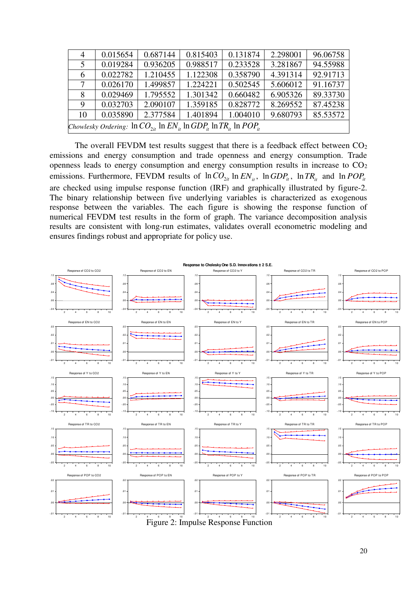| 4  | 0.015654                                                                                     | 0.687144 | 0.815403 | 0.131874 | 2.298001 | 96.06758 |  |  |
|----|----------------------------------------------------------------------------------------------|----------|----------|----------|----------|----------|--|--|
| 5  | 0.019284                                                                                     | 0.936205 | 0.988517 | 0.233528 | 3.281867 | 94.55988 |  |  |
| 6  | 0.022782                                                                                     | 1.210455 | 1.122308 | 0.358790 | 4.391314 | 92.91713 |  |  |
|    | 0.026170                                                                                     | 1.499857 | 1.224221 | 0.502545 | 5.606012 | 91.16737 |  |  |
| 8  | 0.029469                                                                                     | 1.795552 | 1.301342 | 0.660482 | 6.905326 | 89.33730 |  |  |
| 9  | 0.032703                                                                                     | 2.090107 | 1.359185 | 0.828772 | 8.269552 | 87.45238 |  |  |
| 10 | 0.035890                                                                                     | 2.377584 | 1.401894 | 1.004010 | 9.680793 | 85.53572 |  |  |
|    | Chowlesky Ordering: $\ln CO_{\gamma_{it}} \ln EN_{it} \ln GDP_{it} \ln TR_{it} \ln POP_{it}$ |          |          |          |          |          |  |  |

The overall FEVDM test results suggest that there is a feedback effect between  $CO<sub>2</sub>$ emissions and energy consumption and trade openness and energy consumption. Trade openness leads to energy consumption and energy consumption results in increase to CO<sup>2</sup> emissions. Furthermore, FEVDM results of  $ln CO_{2it}$  ln  $EN_{it}$ ,  $ln GDP_{it}$ ,  $ln TR_{it}$  and  $ln POP_{it}$ are checked using impulse response function (IRF) and graphically illustrated by figure-2. The binary relationship between five underlying variables is characterized as exogenous response between the variables. The each figure is showing the response function of numerical FEVDM test results in the form of graph. The variance decomposition analysis results are consistent with long-run estimates, validates overall econometric modeling and ensures findings robust and appropriate for policy use.



Figure 2: Impulse Response Function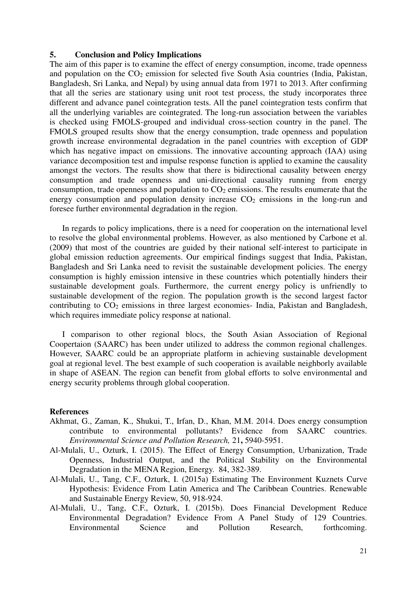## **5. Conclusion and Policy Implications**

The aim of this paper is to examine the effect of energy consumption, income, trade openness and population on the  $CO<sub>2</sub>$  emission for selected five South Asia countries (India, Pakistan, Bangladesh, Sri Lanka, and Nepal) by using annual data from 1971 to 2013. After confirming that all the series are stationary using unit root test process, the study incorporates three different and advance panel cointegration tests. All the panel cointegration tests confirm that all the underlying variables are cointegrated. The long-run association between the variables is checked using FMOLS-grouped and individual cross-section country in the panel. The FMOLS grouped results show that the energy consumption, trade openness and population growth increase environmental degradation in the panel countries with exception of GDP which has negative impact on emissions. The innovative accounting approach (IAA) using variance decomposition test and impulse response function is applied to examine the causality amongst the vectors. The results show that there is bidirectional causality between energy consumption and trade openness and uni-directional causality running from energy consumption, trade openness and population to  $CO<sub>2</sub>$  emissions. The results enumerate that the energy consumption and population density increase  $CO<sub>2</sub>$  emissions in the long-run and foresee further environmental degradation in the region.

In regards to policy implications, there is a need for cooperation on the international level to resolve the global environmental problems. However, as also mentioned by [Carbone et al.](#page-22-12)  [\(2009\)](#page-22-12) that most of the countries are guided by their national self-interest to participate in global emission reduction agreements. Our empirical findings suggest that India, Pakistan, Bangladesh and Sri Lanka need to revisit the sustainable development policies. The energy consumption is highly emission intensive in these countries which potentially hinders their sustainable development goals. Furthermore, the current energy policy is unfriendly to sustainable development of the region. The population growth is the second largest factor contributing to  $CO<sub>2</sub>$  emissions in three largest economies- India, Pakistan and Bangladesh, which requires immediate policy response at national.

I comparison to other regional blocs, the South Asian Association of Regional Coopertaion (SAARC) has been under utilized to address the common regional challenges. However, SAARC could be an appropriate platform in achieving sustainable development goal at regional level. The best example of such cooperation is available neighborly available in shape of ASEAN. The region can benefit from global efforts to solve environmental and energy security problems through global cooperation.

#### **References**

- <span id="page-21-0"></span>Akhmat, G., Zaman, K., Shukui, T., Irfan, D., Khan, M.M. 2014. Does energy consumption contribute to environmental pollutants? Evidence from SAARC countries. *Environmental Science and Pollution Research,* 21**,** 5940-5951.
- Al-Mulali, U., Ozturk, I. (2015). The Effect of Energy Consumption, Urbanization, Trade Openness, Industrial Output, and the Political Stability on the Environmental Degradation in the MENA Region, Energy. [84,](http://dx.doi.org/10.1016/j.energy.2015.03.004) 382-389.
- Al-Mulali, U., Tang, C.F., Ozturk, I. (2015a) Estimating The Environment Kuznets Curve Hypothesis: Evidence From Latin America and The Caribbean Countries. Renewable and Sustainable Energy Review, 50, 918-924.
- Al-Mulali, U., Tang, C.F., Ozturk, I. (2015b). Does Financial Development Reduce Environmental Degradation? Evidence From A Panel Study of 129 Countries. Environmental Science and Pollution Research, forthcoming.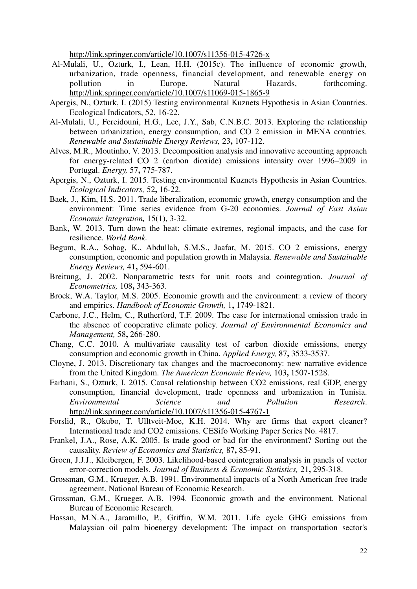<http://link.springer.com/article/10.1007/s11356-015-4726-x>

- Al-Mulali, U., Ozturk, I., Lean, H.H. (2015c). The influence of economic growth, urbanization, trade openness, financial development, and renewable energy on pollution in Europe. Natural Hazards, forthcoming. <http://link.springer.com/article/10.1007/s11069-015-1865-9>
- Apergis, N., Ozturk, I. (2015) Testing environmental Kuznets Hypothesis in Asian Countries. Ecological Indicators, 52, 16-22.
- <span id="page-22-7"></span>Al-Mulali, U., Fereidouni, H.G., Lee, J.Y., Sab, C.N.B.C. 2013. Exploring the relationship between urbanization, energy consumption, and CO 2 emission in MENA countries. *Renewable and Sustainable Energy Reviews,* 23**,** 107-112.
- <span id="page-22-16"></span>Alves, M.R., Moutinho, V. 2013. Decomposition analysis and innovative accounting approach for energy-related CO 2 (carbon dioxide) emissions intensity over 1996–2009 in Portugal. *Energy,* 57**,** 775-787.
- <span id="page-22-2"></span>Apergis, N., Ozturk, I. 2015. Testing environmental Kuznets Hypothesis in Asian Countries. *Ecological Indicators,* 52**,** 16-22.
- <span id="page-22-5"></span>Baek, J., Kim, H.S. 2011. Trade liberalization, economic growth, energy consumption and the environment: Time series evidence from G-20 economies. *Journal of East Asian Economic Integration,* 15(1), 3-32.
- <span id="page-22-0"></span>Bank, W. 2013. Turn down the heat: climate extremes, regional impacts, and the case for resilience. *World Bank.*
- <span id="page-22-11"></span>Begum, R.A., Sohag, K., Abdullah, S.M.S., Jaafar, M. 2015. CO 2 emissions, energy consumption, economic and population growth in Malaysia. *Renewable and Sustainable Energy Reviews,* 41**,** 594-601.
- <span id="page-22-14"></span>Breitung, J. 2002. Nonparametric tests for unit roots and cointegration. *Journal of Econometrics,* 108**,** 343-363.
- <span id="page-22-4"></span>Brock, W.A. Taylor, M.S. 2005. Economic growth and the environment: a review of theory and empirics. *Handbook of Economic Growth,* 1**,** 1749-1821.
- <span id="page-22-12"></span>Carbone, J.C., Helm, C., Rutherford, T.F. 2009. The case for international emission trade in the absence of cooperative climate policy. *Journal of Environmental Economics and Management,* 58**,** 266-280.
- <span id="page-22-13"></span>Chang, C.C. 2010. A multivariate causality test of carbon dioxide emissions, energy consumption and economic growth in China. *Applied Energy,* 87**,** 3533-3537.
- <span id="page-22-8"></span>Cloyne, J. 2013. Discretionary tax changes and the macroeconomy: new narrative evidence from the United Kingdom. *The American Economic Review,* 103**,** 1507-1528.
- <span id="page-22-3"></span>Farhani, S., Ozturk, I. 2015. Causal relationship between CO2 emissions, real GDP, energy consumption, financial development, trade openness and urbanization in Tunisia. *Environmental Science and Pollution Research*. <http://link.springer.com/article/10.1007/s11356-015-4767-1>
- <span id="page-22-10"></span>Forslid, R., Okubo, T. Ulltveit-Moe, K.H. 2014. Why are firms that export cleaner? International trade and CO2 emissions. [CESifo Working Paper Series No. 4817.](http://papers.ssrn.com/sol3/papers.cfm?abstract_id=2458293##)
- <span id="page-22-9"></span>Frankel, J.A., Rose, A.K. 2005. Is trade good or bad for the environment? Sorting out the causality. *Review of Economics and Statistics,* 87**,** 85-91.
- <span id="page-22-15"></span>Groen, J.J.J., Kleibergen, F. 2003. Likelihood-based cointegration analysis in panels of vector error-correction models. *Journal of Business & Economic Statistics,* 21**,** 295-318.
- <span id="page-22-6"></span>Grossman, G.M., Krueger, A.B. 1991. Environmental impacts of a North American free trade agreement. National Bureau of Economic Research.
- <span id="page-22-1"></span>Grossman, G.M., Krueger, A.B. 1994. Economic growth and the environment. National Bureau of Economic Research.
- <span id="page-22-17"></span>Hassan, M.N.A., Jaramillo, P., Griffin, W.M. 2011. Life cycle GHG emissions from Malaysian oil palm bioenergy development: The impact on transportation sector's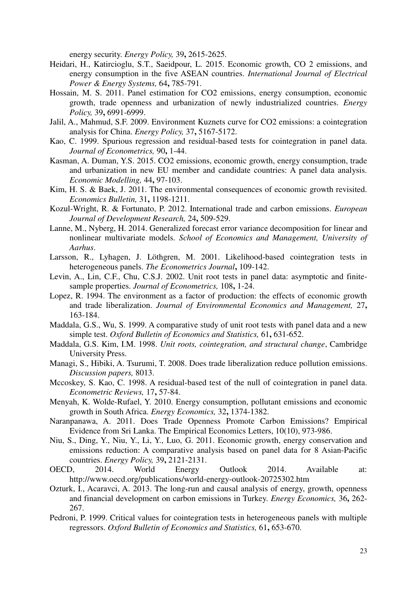energy security. *Energy Policy,* 39**,** 2615-2625.

- <span id="page-23-7"></span>Heidari, H., Katircioglu, S.T., Saeidpour, L. 2015. Economic growth, CO 2 emissions, and energy consumption in the five ASEAN countries. *International Journal of Electrical Power & Energy Systems,* 64**,** 785-791.
- <span id="page-23-8"></span>Hossain, M. S. 2011. Panel estimation for CO2 emissions, energy consumption, economic growth, trade openness and urbanization of newly industrialized countries. *Energy Policy,* 39**,** 6991-6999.
- <span id="page-23-6"></span>Jalil, A., Mahmud, S.F. 2009. Environment Kuznets curve for CO2 emissions: a cointegration analysis for China. *Energy Policy,* 37**,** 5167-5172.
- <span id="page-23-15"></span>Kao, C. 1999. Spurious regression and residual-based tests for cointegration in panel data. *Journal of Econometrics,* 90**,** 1-44.
- <span id="page-23-2"></span>Kasman, A. Duman, Y.S. 2015. CO2 emissions, economic growth, energy consumption, trade and urbanization in new EU member and candidate countries: A panel data analysis. *Economic Modelling,* 44**,** 97-103.
- <span id="page-23-3"></span>Kim, H. S. & Baek, J. 2011. The environmental consequences of economic growth revisited. *Economics Bulletin,* 31**,** 1198-1211.
- <span id="page-23-4"></span>Kozul-Wright, R. & Fortunato, P. 2012. International trade and carbon emissions. *European Journal of Development Research,* 24**,** 509-529.
- <span id="page-23-19"></span>Lanne, M., Nyberg, H. 2014. Generalized forecast error variance decomposition for linear and nonlinear multivariate models. *School of Economics and Management, University of Aarhus*.
- <span id="page-23-16"></span>Larsson, R., Lyhagen, J. Löthgren, M. 2001. Likelihood-based cointegration tests in heterogeneous panels. *The Econometrics Journal***,** 109-142.
- <span id="page-23-12"></span>Levin, A., Lin, C.F., Chu, C.S.J. 2002. Unit root tests in panel data: asymptotic and finitesample properties. *Journal of Econometrics,* 108**,** 1-24.
- <span id="page-23-1"></span>Lopez, R. 1994. The environment as a factor of production: the effects of economic growth and trade liberalization. *Journal of Environmental Economics and Management,* 27**,** 163-184.
- <span id="page-23-11"></span>Maddala, G.S., Wu, S. 1999. A comparative study of unit root tests with panel data and a new simple test. *Oxford Bulletin of Economics and Statistics,* 61**,** 631-652.
- <span id="page-23-18"></span>Maddala, G.S. Kim, I.M. 1998. *Unit roots, cointegration, and structural change*, Cambridge University Press.
- <span id="page-23-5"></span>Managi, S., Hibiki, A. Tsurumi, T. 2008. Does trade liberalization reduce pollution emissions. *Discussion papers,* 8013.
- <span id="page-23-17"></span>Mccoskey, S. Kao, C. 1998. A residual-based test of the null of cointegration in panel data. *Econometric Reviews,* 17**,** 57-84.
- <span id="page-23-20"></span>Menyah, K. Wolde-Rufael, Y. 2010. Energy consumption, pollutant emissions and economic growth in South Africa. *Energy Economics,* 32**,** 1374-1382.
- <span id="page-23-9"></span>Naranpanawa, A. 2011. Does Trade Openness Promote Carbon Emissions? Empirical Evidence from Sri Lanka. The Empirical Economics Letters, 10(10), 973-986.
- <span id="page-23-13"></span>Niu, S., Ding, Y., Niu, Y., Li, Y., Luo, G. 2011. Economic growth, energy conservation and emissions reduction: A comparative analysis based on panel data for 8 Asian-Pacific countries. *Energy Policy,* 39**,** 2121-2131.
- <span id="page-23-0"></span>OECD, 2014. World Energy Outlook 2014. Available at: http://www.oecd.org/publications/world-energy-outlook-20725302.htm
- <span id="page-23-10"></span>Ozturk, I., Acaravci, A. 2013. The long-run and causal analysis of energy, growth, openness and financial development on carbon emissions in Turkey. *Energy Economics,* 36**,** 262- 267.
- <span id="page-23-14"></span>Pedroni, P. 1999. Critical values for cointegration tests in heterogeneous panels with multiple regressors. *Oxford Bulletin of Economics and Statistics,* 61**,** 653-670.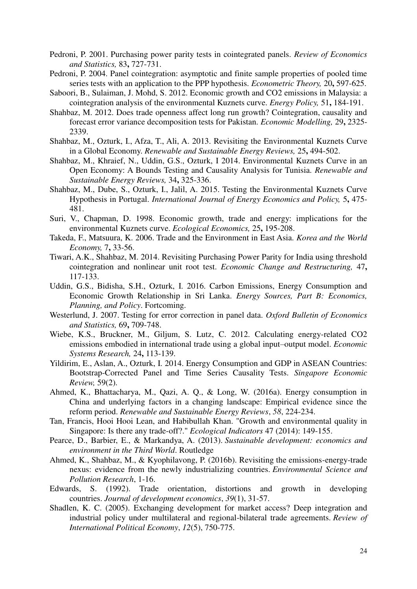- <span id="page-24-11"></span>Pedroni, P. 2001. Purchasing power parity tests in cointegrated panels. *Review of Economics and Statistics,* 83**,** 727-731.
- <span id="page-24-10"></span>Pedroni, P. 2004. Panel cointegration: asymptotic and finite sample properties of pooled time series tests with an application to the PPP hypothesis. *Econometric Theory,* 20**,** 597-625.
- <span id="page-24-8"></span>Saboori, B., Sulaiman, J. Mohd, S. 2012. Economic growth and CO2 emissions in Malaysia: a cointegration analysis of the environmental Kuznets curve. *Energy Policy,* 51**,** 184-191.
- <span id="page-24-12"></span>Shahbaz, M. 2012. Does trade openness affect long run growth? Cointegration, causality and forecast error variance decomposition tests for Pakistan. *Economic Modelling,* 29**,** 2325- 2339.
- <span id="page-24-2"></span>Shahbaz, M., Ozturk, I., Afza, T., Ali, A. 2013. Revisiting the Environmental Kuznets Curve in a Global Economy. *Renewable and Sustainable Energy Reviews,* 25**,** 494-502.
- <span id="page-24-3"></span>Shahbaz, M., Khraief, N., Uddin, G.S., Ozturk, I 2014. Environmental Kuznets Curve in an Open Economy: A Bounds Testing and Causality Analysis for Tunisia. *Renewable and Sustainable Energy Reviews,* 34**,** 325-336.
- <span id="page-24-4"></span>Shahbaz, M., Dube, S., Ozturk, I., Jalil, A. 2015. Testing the Environmental Kuznets Curve Hypothesis in Portugal. *International Journal of Energy Economics and Policy,* 5**,** 475- 481.
- <span id="page-24-1"></span>Suri, V., Chapman, D. 1998. Economic growth, trade and energy: implications for the environmental Kuznets curve. *Ecological Economics,* 25**,** 195-208.
- <span id="page-24-0"></span>Takeda, F., Matsuura, K. 2006. Trade and the Environment in East Asia. *Korea and the World Economy,* 7**,** 33-56.
- <span id="page-24-13"></span>Tiwari, A.K., Shahbaz, M. 2014. Revisiting Purchasing Power Parity for India using threshold cointegration and nonlinear unit root test. *Economic Change and Restructuring,* 47**,** 117-133.
- <span id="page-24-6"></span>Uddin, G.S., Bidisha, S.H., Ozturk, I. 2016. Carbon Emissions, Energy Consumption and Economic Growth Relationship in Sri Lanka. *Energy Sources, Part B: Economics, Planning, and Policy*. Fortcoming.
- <span id="page-24-9"></span>Westerlund, J. 2007. Testing for error correction in panel data. *Oxford Bulletin of Economics and Statistics,* 69**,** 709-748.
- <span id="page-24-7"></span>Wiebe, K.S., Bruckner, M., Giljum, S. Lutz, C. 2012. Calculating energy-related CO2 emissions embodied in international trade using a global input–output model. *Economic Systems Research,* 24**,** 113-139.
- <span id="page-24-5"></span>Yildirim, E., Aslan, A., Ozturk, I. 2014. Energy Consumption and GDP in ASEAN Countries: Bootstrap-Corrected Panel and Time Series Causality Tests. *Singapore Economic Review,* 59(2).
- Ahmed, K., Bhattacharya, M., Qazi, A. Q., & Long, W. (2016a). Energy consumption in China and underlying factors in a changing landscape: Empirical evidence since the reform period. *Renewable and Sustainable Energy Reviews*, *58*, 224-234.
- Tan, Francis, Hooi Hooi Lean, and Habibullah Khan. "Growth and environmental quality in Singapore: Is there any trade-off?." *Ecological Indicators* 47 (2014): 149-155.
- Pearce, D., Barbier, E., & Markandya, A. (2013). *Sustainable development: economics and environment in the Third World*. Routledge
- Ahmed, K., Shahbaz, M., & Kyophilavong, P. (2016b). Revisiting the emissions-energy-trade nexus: evidence from the newly industrializing countries. *Environmental Science and Pollution Research*, 1-16.
- Edwards, S. (1992). Trade orientation, distortions and growth in developing countries. *Journal of development economics*, *39*(1), 31-57.
- Shadlen, K. C. (2005). Exchanging development for market access? Deep integration and industrial policy under multilateral and regional-bilateral trade agreements. *Review of International Political Economy*, *12*(5), 750-775.